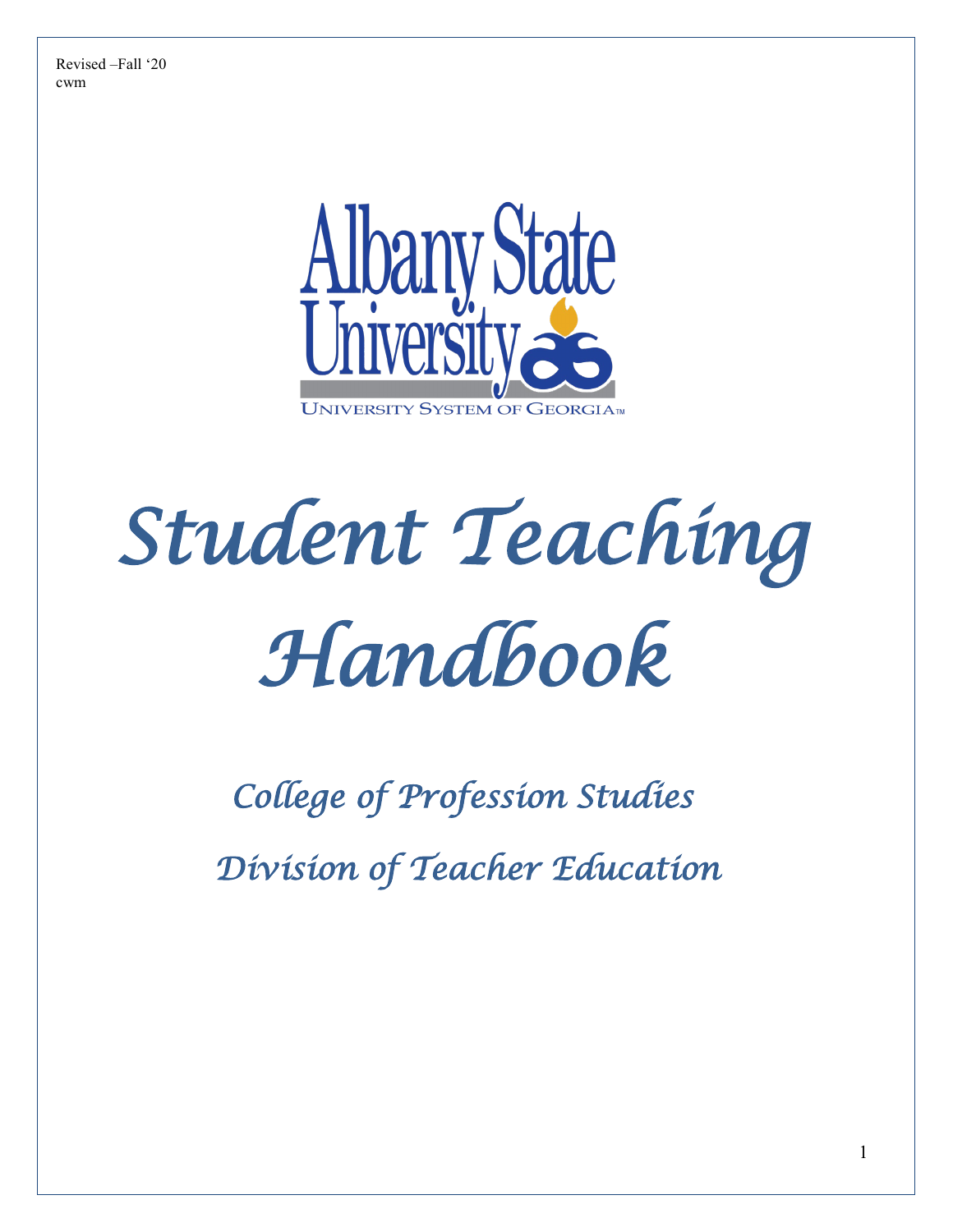

# *Student Teaching Handbook*

*College of Profession Studies* 

 *Division of Teacher Education*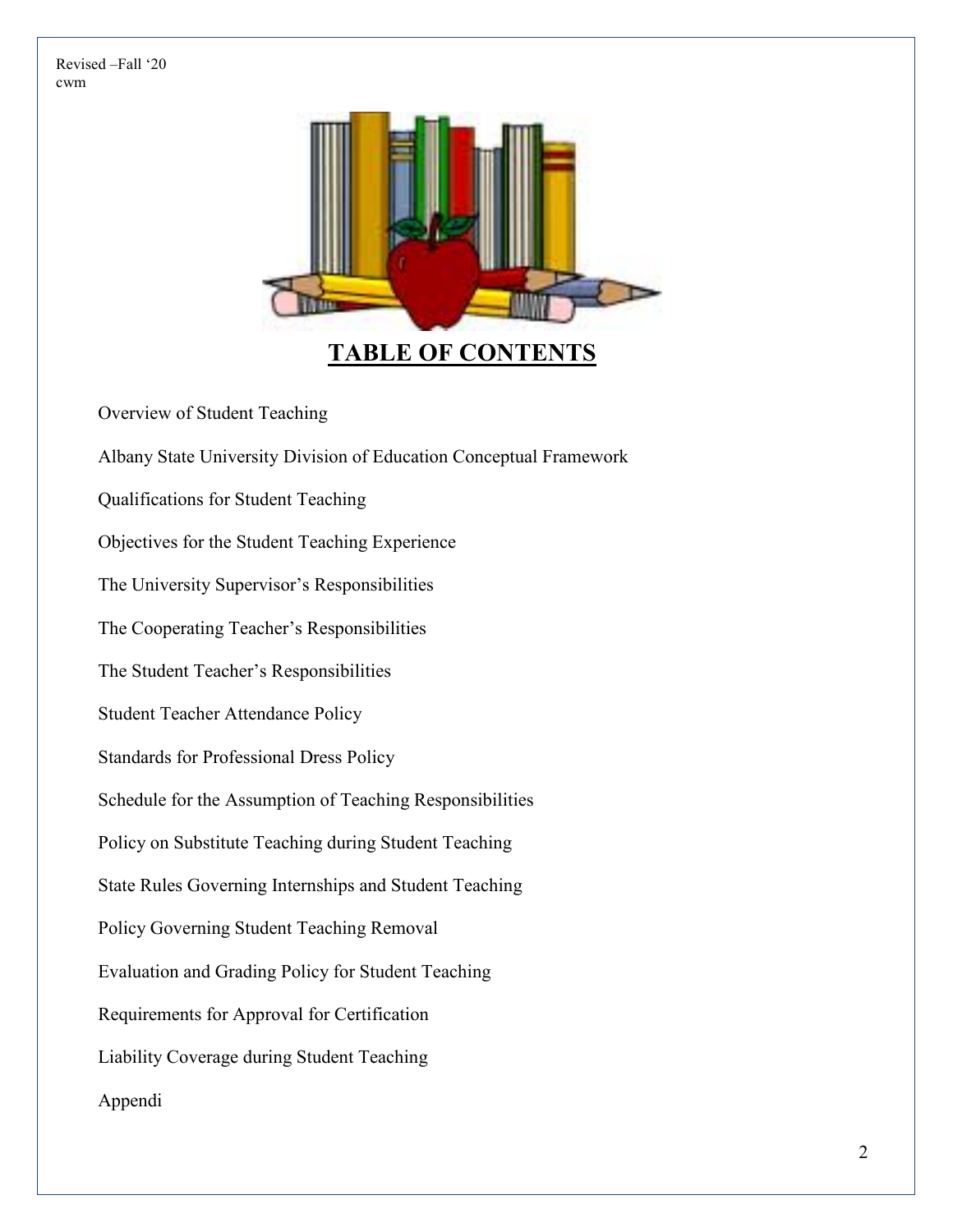

# **TABLE OF CONTENTS**

Overview of Student Teaching

Albany State University Division of Education Conceptual Framework Qualifications for Student Teaching

Objectives for the Student Teaching Experience

The University Supervisor's Responsibilities

The Cooperating Teacher's Responsibilities

The Student Teacher's Responsibilities

Student Teacher Attendance Policy

Standards for Professional Dress Policy

Schedule for the Assumption of Teaching Responsibilities

Policy on Substitute Teaching during Student Teaching

State Rules Governing Internships and Student Teaching

Policy Governing Student Teaching Removal

Evaluation and Grading Policy for Student Teaching

Requirements for Approval for Certification

Liability Coverage during Student Teaching

Appendi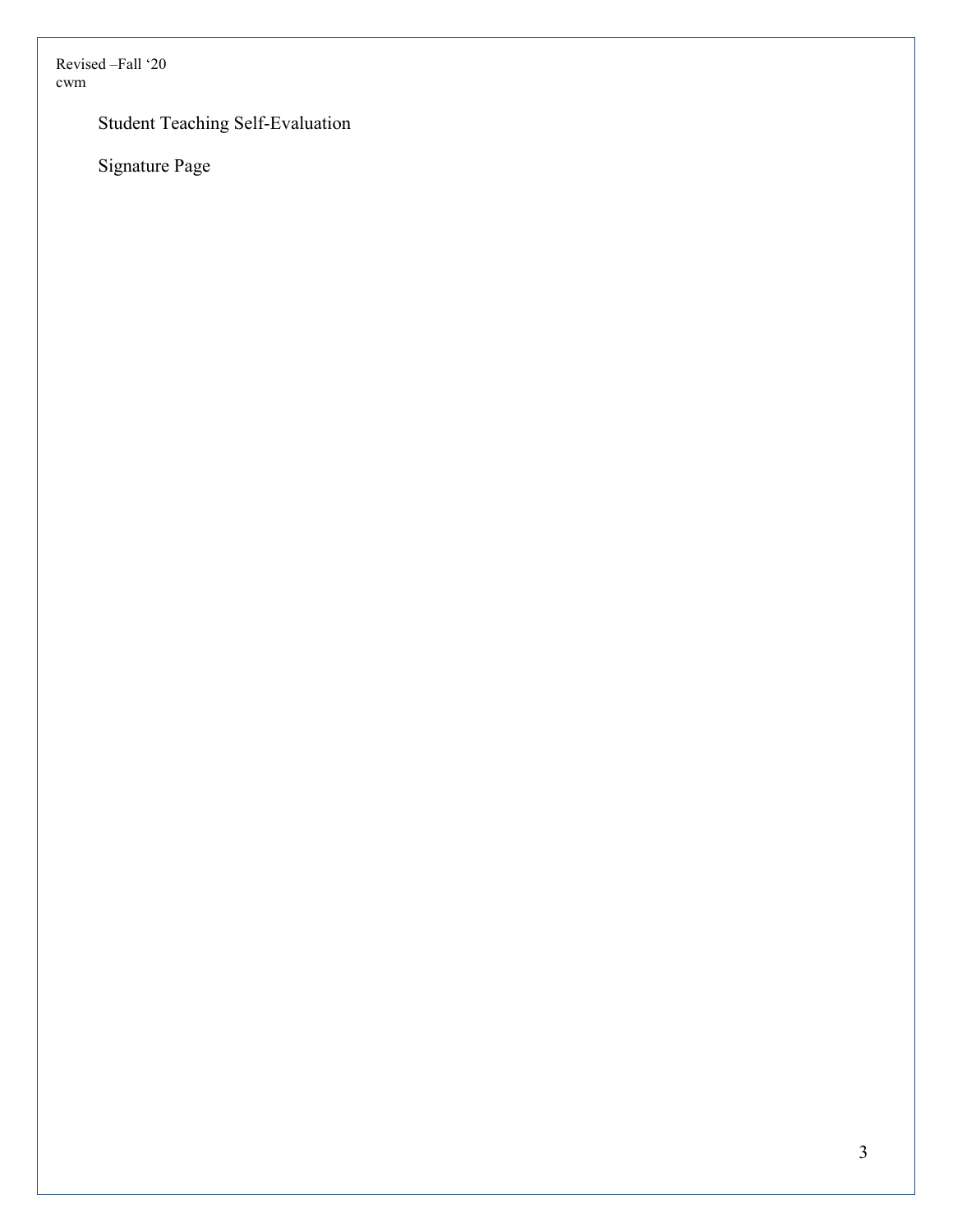Student Teaching Self-Evaluation

Signature Page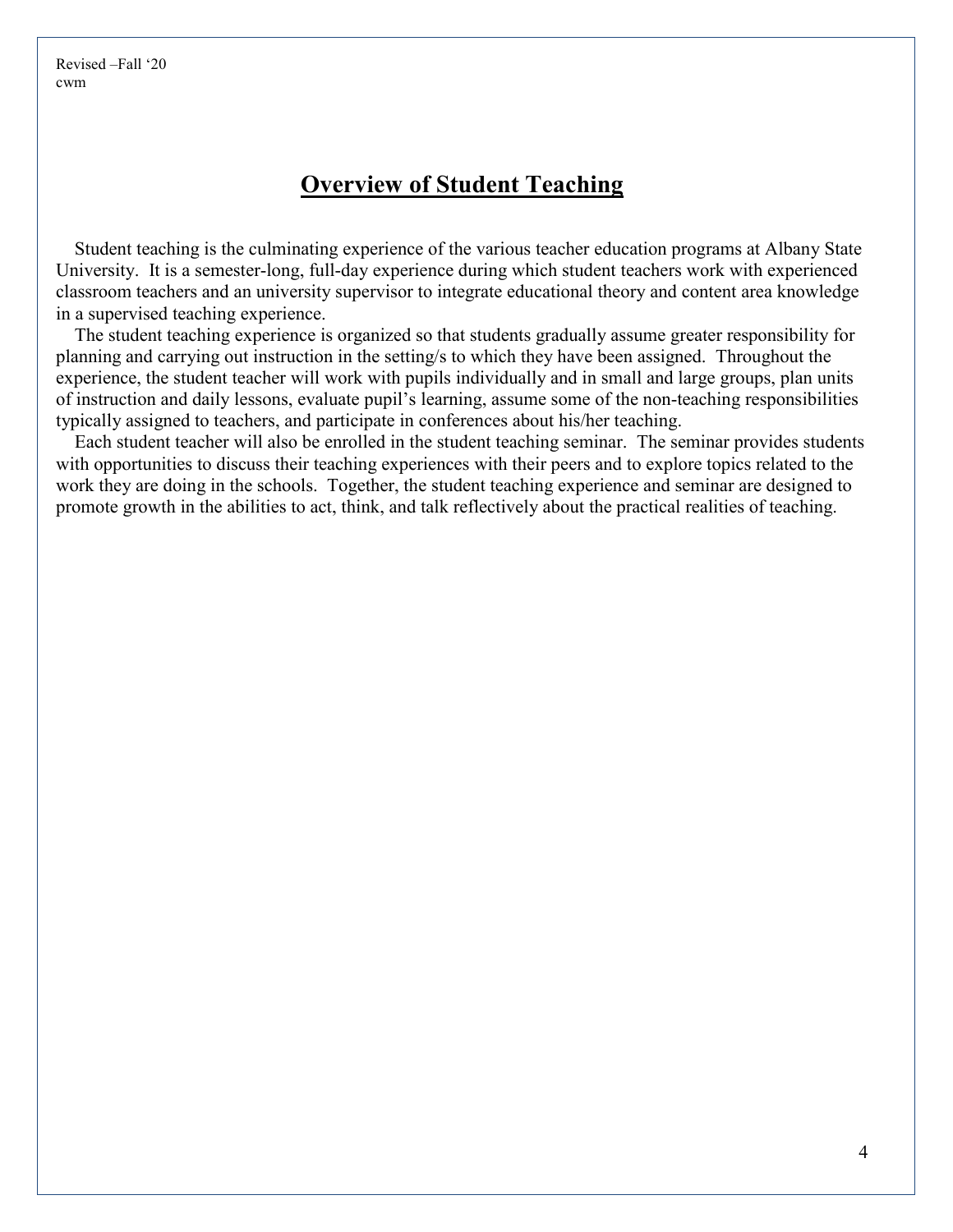#### **Overview of Student Teaching**

Student teaching is the culminating experience of the various teacher education programs at Albany State University. It is a semester-long, full-day experience during which student teachers work with experienced classroom teachers and an university supervisor to integrate educational theory and content area knowledge in a supervised teaching experience.

The student teaching experience is organized so that students gradually assume greater responsibility for planning and carrying out instruction in the setting/s to which they have been assigned. Throughout the experience, the student teacher will work with pupils individually and in small and large groups, plan units of instruction and daily lessons, evaluate pupil's learning, assume some of the non-teaching responsibilities typically assigned to teachers, and participate in conferences about his/her teaching.

Each student teacher will also be enrolled in the student teaching seminar. The seminar provides students with opportunities to discuss their teaching experiences with their peers and to explore topics related to the work they are doing in the schools. Together, the student teaching experience and seminar are designed to promote growth in the abilities to act, think, and talk reflectively about the practical realities of teaching.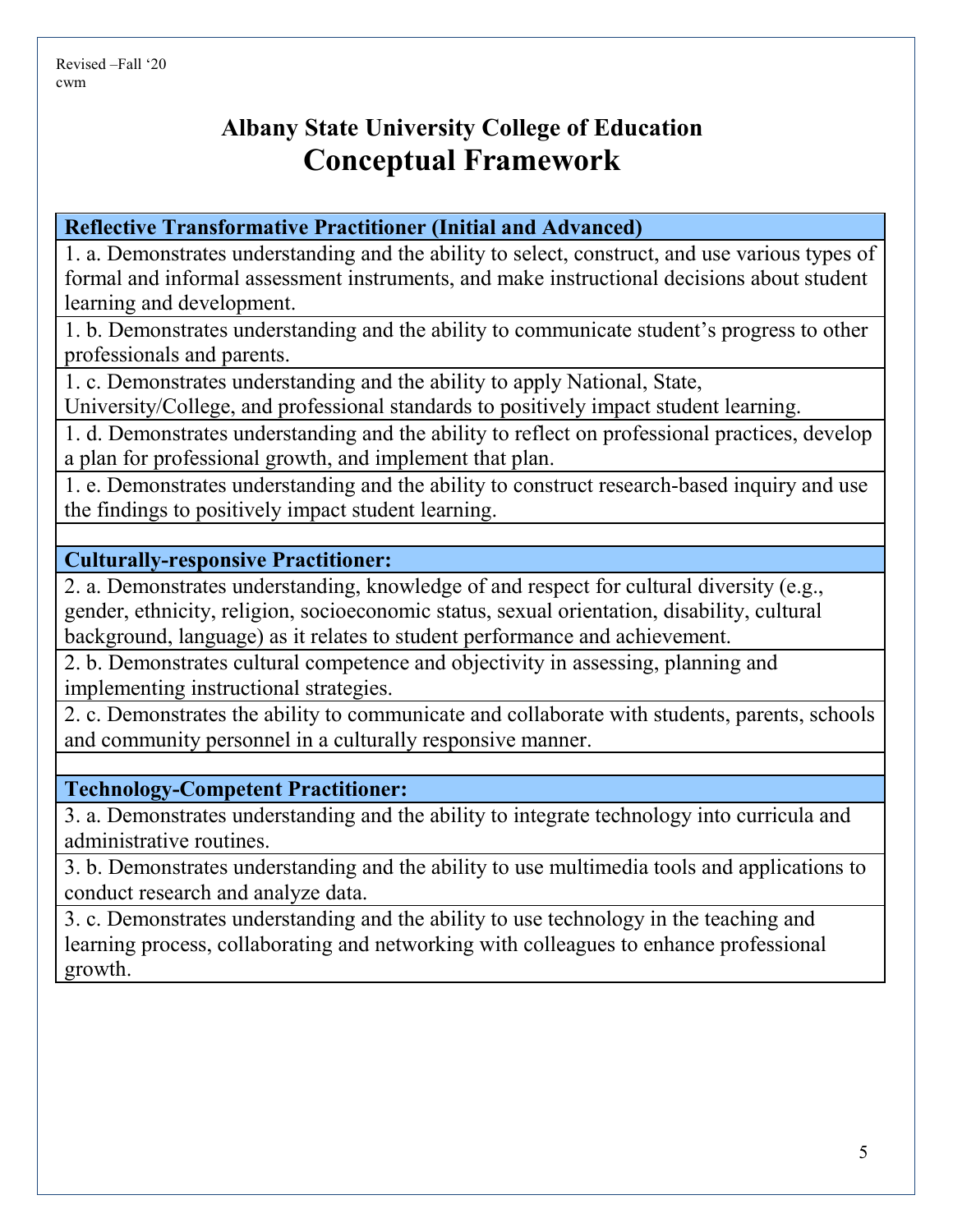# **Albany State University College of Education Conceptual Framework**

**Reflective Transformative Practitioner (Initial and Advanced)**

1. a. Demonstrates understanding and the ability to select, construct, and use various types of formal and informal assessment instruments, and make instructional decisions about student learning and development.

1. b. Demonstrates understanding and the ability to communicate student's progress to other professionals and parents.

1. c. Demonstrates understanding and the ability to apply National, State,

University/College, and professional standards to positively impact student learning.

1. d. Demonstrates understanding and the ability to reflect on professional practices, develop a plan for professional growth, and implement that plan.

1. e. Demonstrates understanding and the ability to construct research-based inquiry and use the findings to positively impact student learning.

**Culturally-responsive Practitioner:**

2. a. Demonstrates understanding, knowledge of and respect for cultural diversity (e.g., gender, ethnicity, religion, socioeconomic status, sexual orientation, disability, cultural background, language) as it relates to student performance and achievement.

2. b. Demonstrates cultural competence and objectivity in assessing, planning and implementing instructional strategies.

2. c. Demonstrates the ability to communicate and collaborate with students, parents, schools and community personnel in a culturally responsive manner.

**Technology-Competent Practitioner:**

3. a. Demonstrates understanding and the ability to integrate technology into curricula and administrative routines.

3. b. Demonstrates understanding and the ability to use multimedia tools and applications to conduct research and analyze data.

3. c. Demonstrates understanding and the ability to use technology in the teaching and learning process, collaborating and networking with colleagues to enhance professional growth.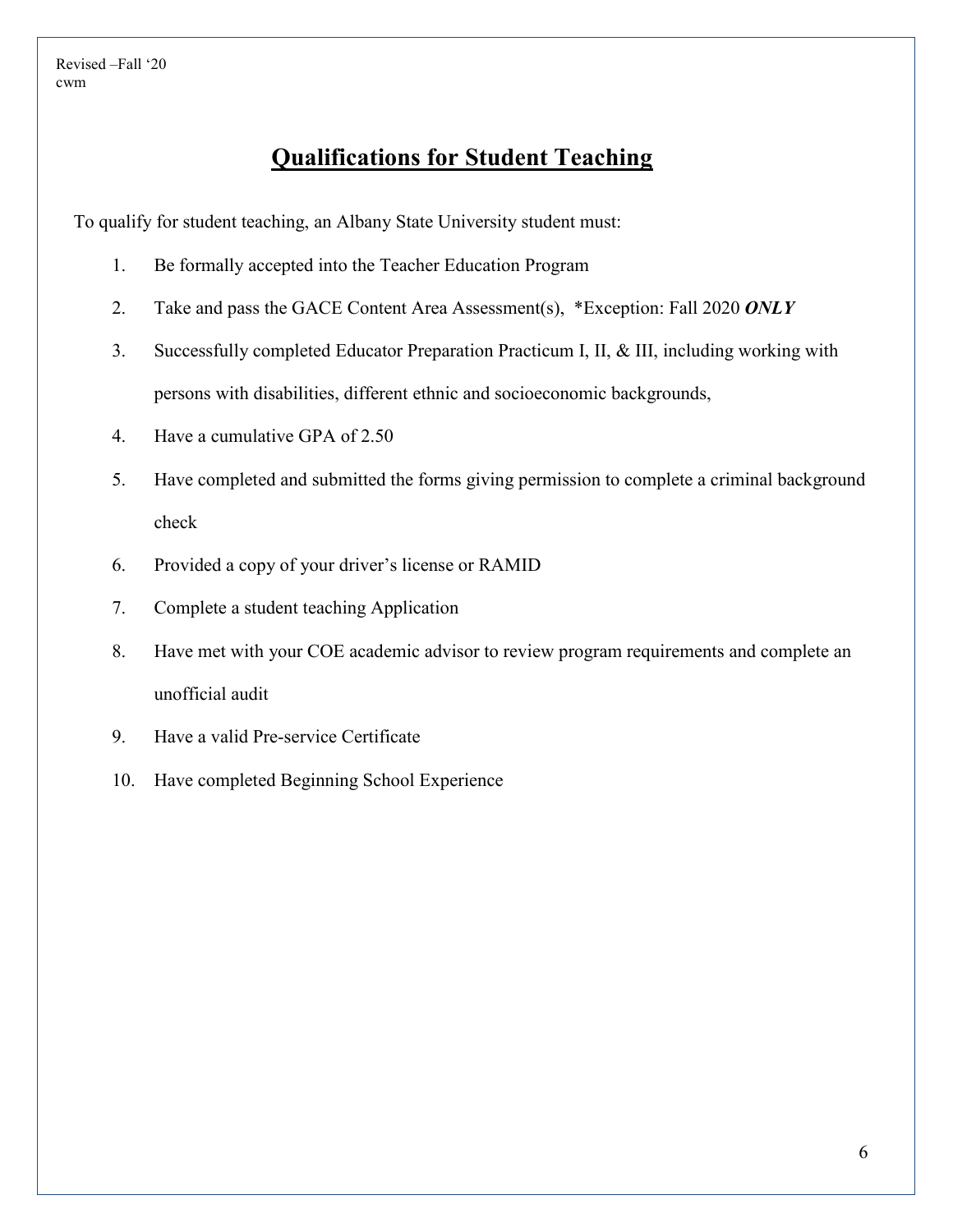### **Qualifications for Student Teaching**

To qualify for student teaching, an Albany State University student must:

- 1. Be formally accepted into the Teacher Education Program
- 2. Take and pass the GACE Content Area Assessment(s), \*Exception: Fall 2020 *ONLY*
- 3. Successfully completed Educator Preparation Practicum I, II, & III, including working with persons with disabilities, different ethnic and socioeconomic backgrounds,
- 4. Have a cumulative GPA of 2.50
- 5. Have completed and submitted the forms giving permission to complete a criminal background check
- 6. Provided a copy of your driver's license or RAMID
- 7. Complete a student teaching Application
- 8. Have met with your COE academic advisor to review program requirements and complete an unofficial audit
- 9. Have a valid Pre-service Certificate
- 10. Have completed Beginning School Experience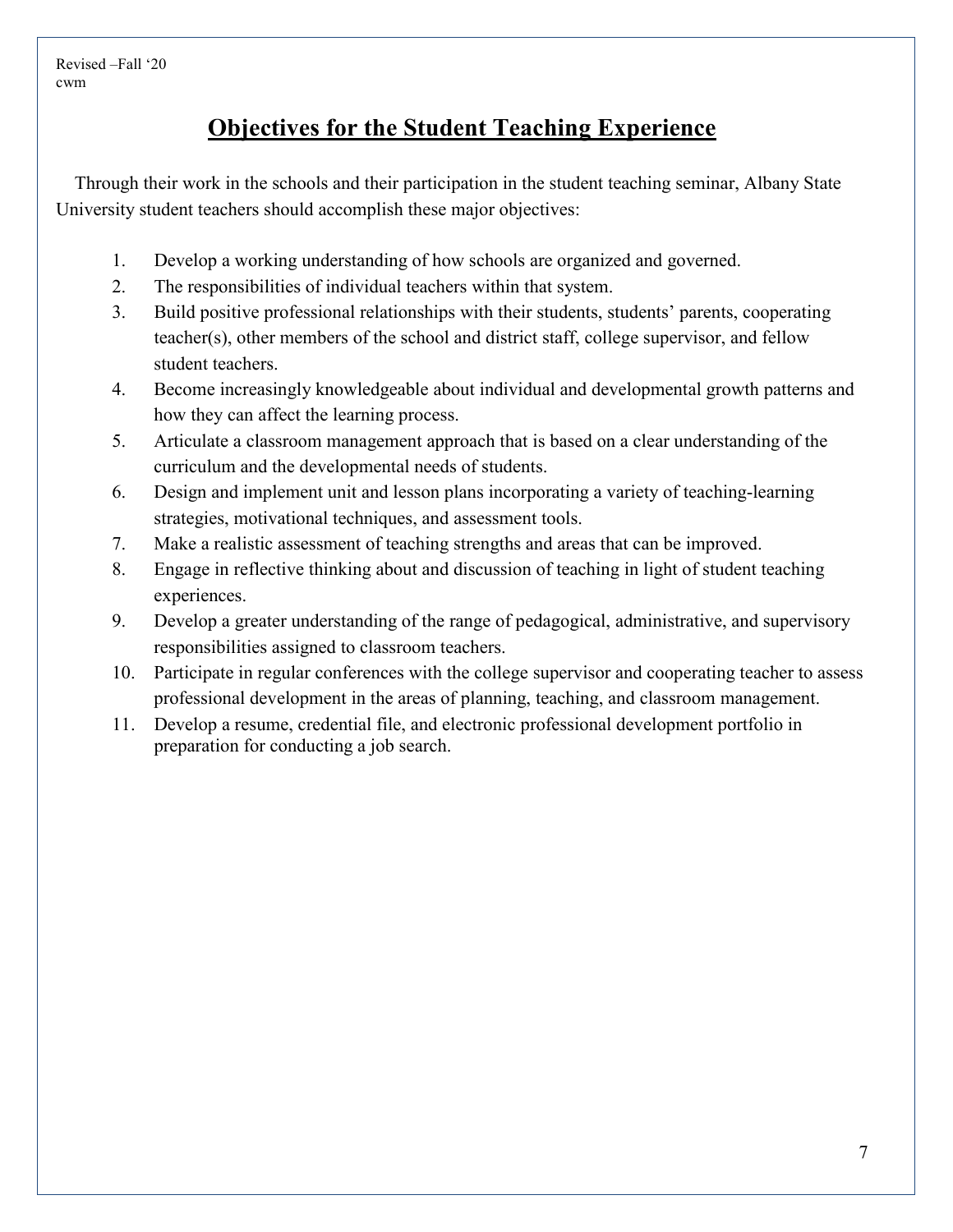# **Objectives for the Student Teaching Experience**

Through their work in the schools and their participation in the student teaching seminar, Albany State University student teachers should accomplish these major objectives:

- 1. Develop a working understanding of how schools are organized and governed.
- 2. The responsibilities of individual teachers within that system.
- 3. Build positive professional relationships with their students, students' parents, cooperating teacher(s), other members of the school and district staff, college supervisor, and fellow student teachers.
- 4. Become increasingly knowledgeable about individual and developmental growth patterns and how they can affect the learning process.
- 5. Articulate a classroom management approach that is based on a clear understanding of the curriculum and the developmental needs of students.
- 6. Design and implement unit and lesson plans incorporating a variety of teaching-learning strategies, motivational techniques, and assessment tools.
- 7. Make a realistic assessment of teaching strengths and areas that can be improved.
- 8. Engage in reflective thinking about and discussion of teaching in light of student teaching experiences.
- 9. Develop a greater understanding of the range of pedagogical, administrative, and supervisory responsibilities assigned to classroom teachers.
- 10. Participate in regular conferences with the college supervisor and cooperating teacher to assess professional development in the areas of planning, teaching, and classroom management.
- 11. Develop a resume, credential file, and electronic professional development portfolio in preparation for conducting a job search.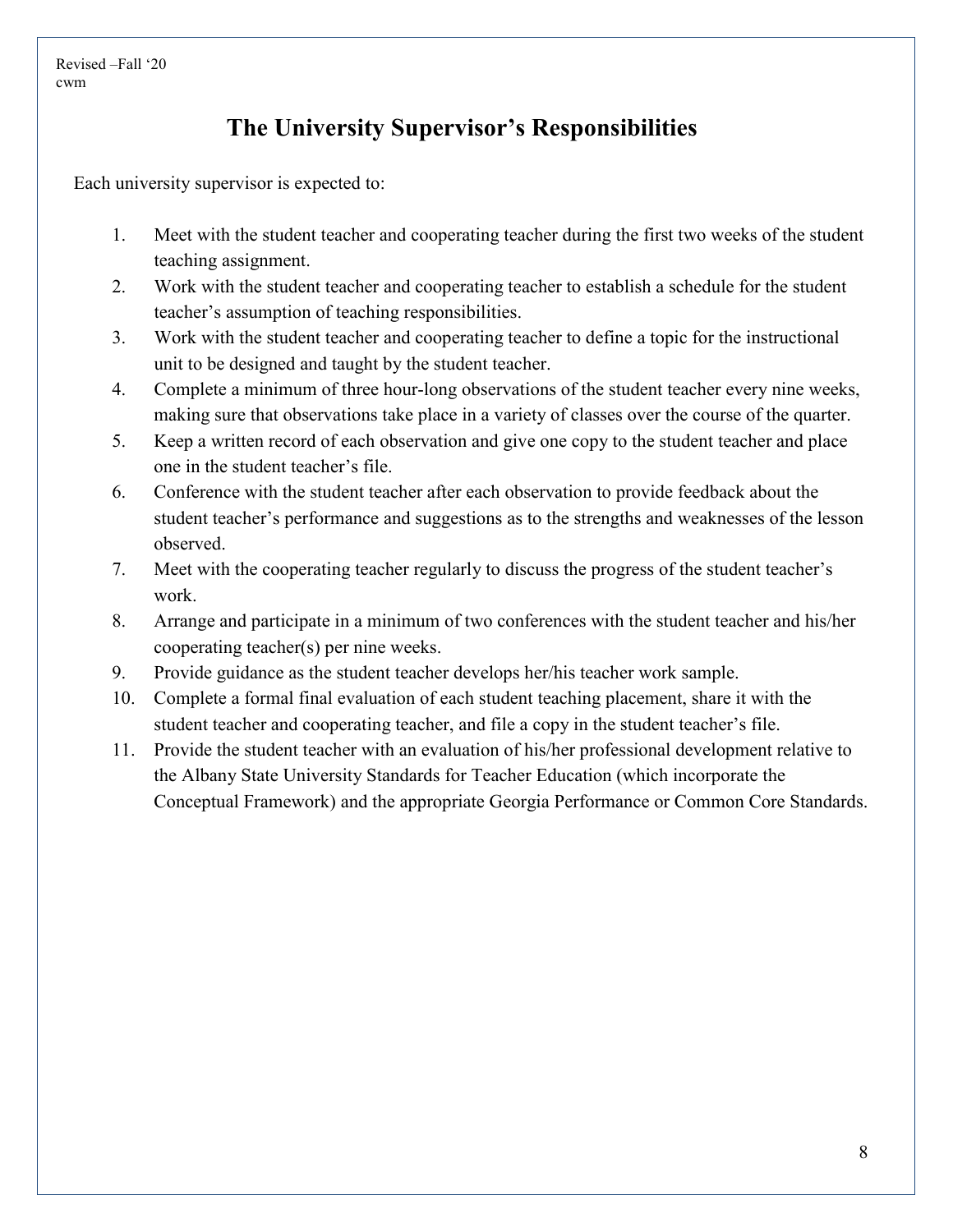# **The University Supervisor's Responsibilities**

Each university supervisor is expected to:

- 1. Meet with the student teacher and cooperating teacher during the first two weeks of the student teaching assignment.
- 2. Work with the student teacher and cooperating teacher to establish a schedule for the student teacher's assumption of teaching responsibilities.
- 3. Work with the student teacher and cooperating teacher to define a topic for the instructional unit to be designed and taught by the student teacher.
- 4. Complete a minimum of three hour-long observations of the student teacher every nine weeks, making sure that observations take place in a variety of classes over the course of the quarter.
- 5. Keep a written record of each observation and give one copy to the student teacher and place one in the student teacher's file.
- 6. Conference with the student teacher after each observation to provide feedback about the student teacher's performance and suggestions as to the strengths and weaknesses of the lesson observed.
- 7. Meet with the cooperating teacher regularly to discuss the progress of the student teacher's work.
- 8. Arrange and participate in a minimum of two conferences with the student teacher and his/her cooperating teacher(s) per nine weeks.
- 9. Provide guidance as the student teacher develops her/his teacher work sample.
- 10. Complete a formal final evaluation of each student teaching placement, share it with the student teacher and cooperating teacher, and file a copy in the student teacher's file.
- 11. Provide the student teacher with an evaluation of his/her professional development relative to the Albany State University Standards for Teacher Education (which incorporate the Conceptual Framework) and the appropriate Georgia Performance or Common Core Standards.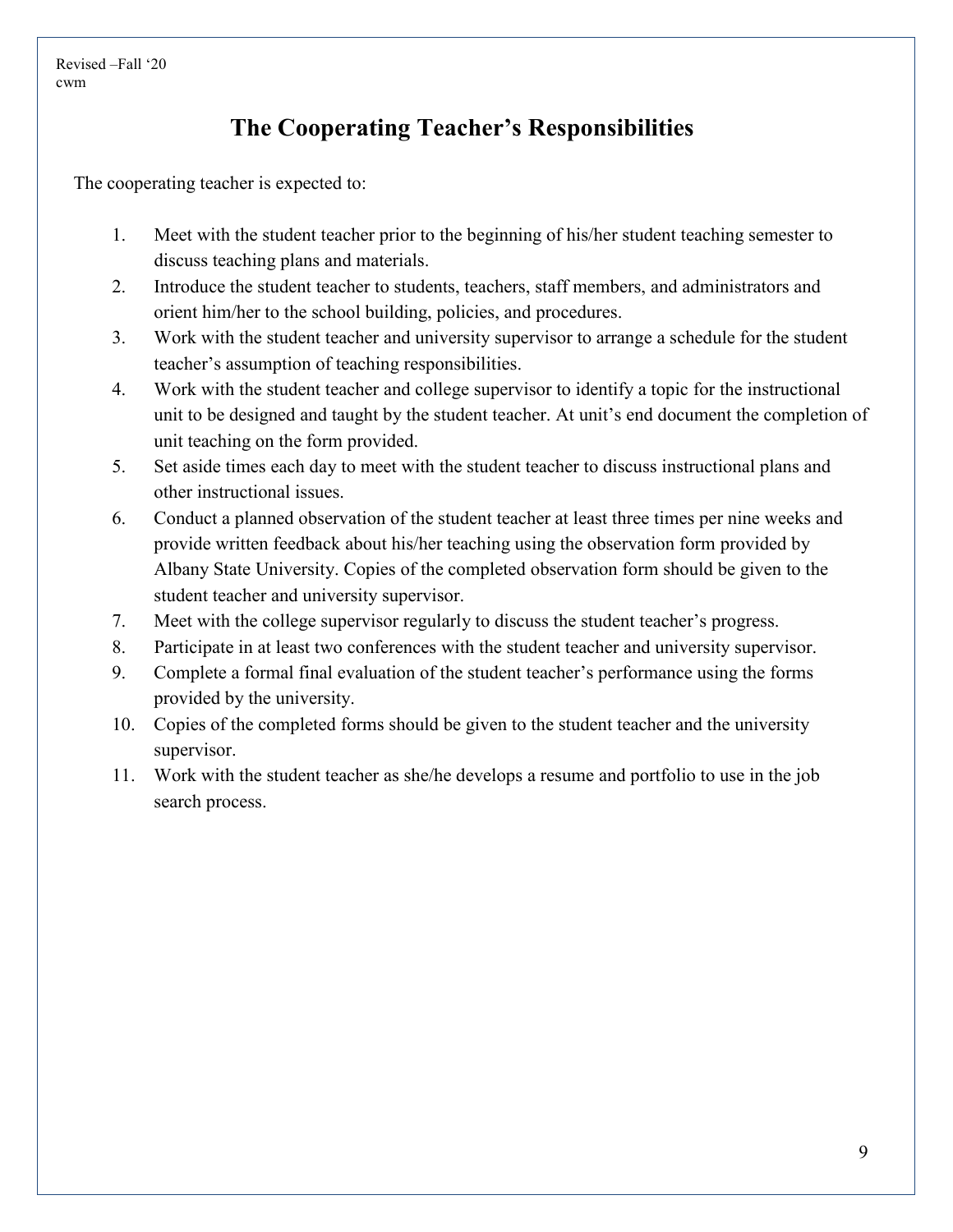# **The Cooperating Teacher's Responsibilities**

The cooperating teacher is expected to:

- 1. Meet with the student teacher prior to the beginning of his/her student teaching semester to discuss teaching plans and materials.
- 2. Introduce the student teacher to students, teachers, staff members, and administrators and orient him/her to the school building, policies, and procedures.
- 3. Work with the student teacher and university supervisor to arrange a schedule for the student teacher's assumption of teaching responsibilities.
- 4. Work with the student teacher and college supervisor to identify a topic for the instructional unit to be designed and taught by the student teacher. At unit's end document the completion of unit teaching on the form provided.
- 5. Set aside times each day to meet with the student teacher to discuss instructional plans and other instructional issues.
- 6. Conduct a planned observation of the student teacher at least three times per nine weeks and provide written feedback about his/her teaching using the observation form provided by Albany State University. Copies of the completed observation form should be given to the student teacher and university supervisor.
- 7. Meet with the college supervisor regularly to discuss the student teacher's progress.
- 8. Participate in at least two conferences with the student teacher and university supervisor.
- 9. Complete a formal final evaluation of the student teacher's performance using the forms provided by the university.
- 10. Copies of the completed forms should be given to the student teacher and the university supervisor.
- 11. Work with the student teacher as she/he develops a resume and portfolio to use in the job search process.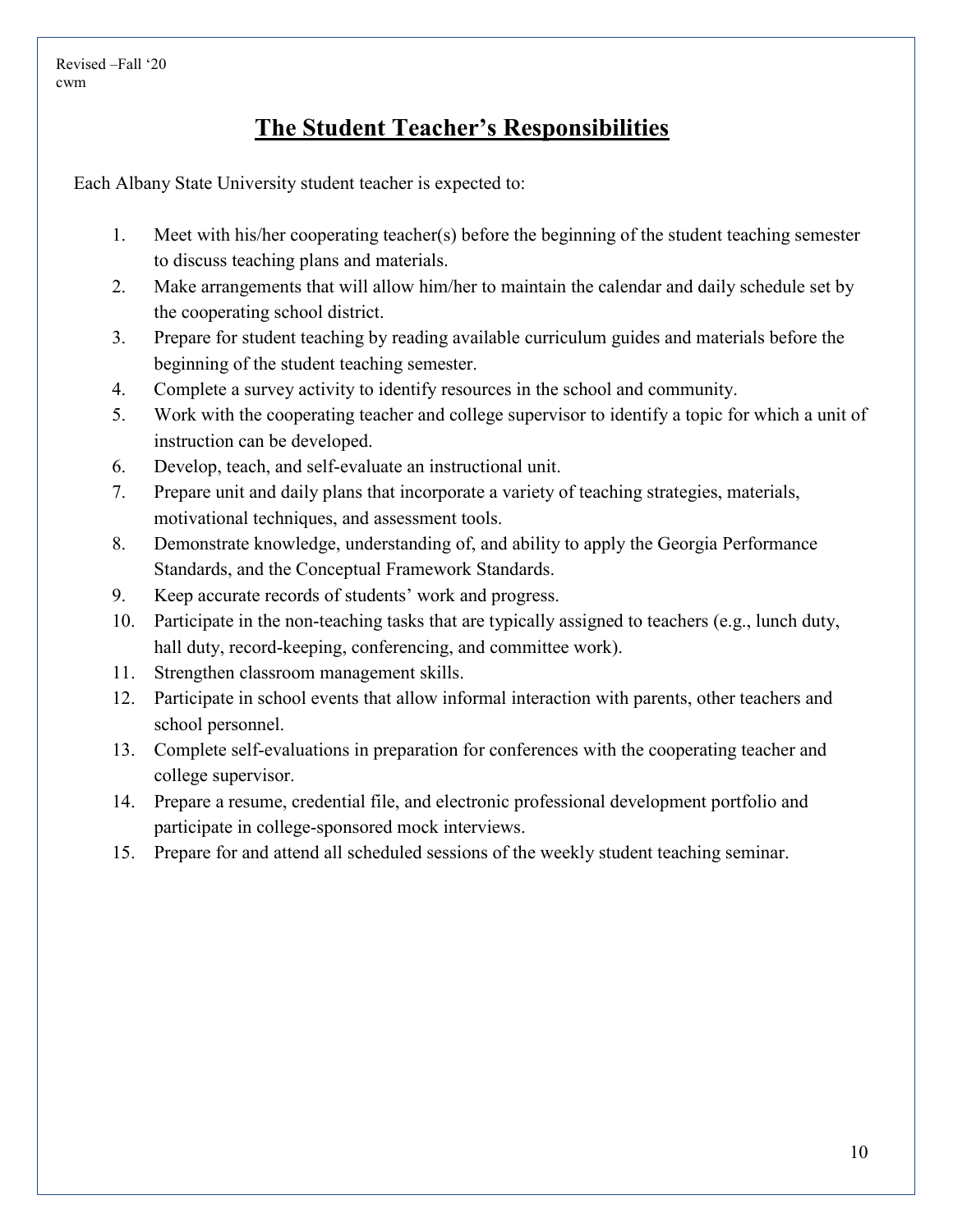# **The Student Teacher's Responsibilities**

Each Albany State University student teacher is expected to:

- 1. Meet with his/her cooperating teacher(s) before the beginning of the student teaching semester to discuss teaching plans and materials.
- 2. Make arrangements that will allow him/her to maintain the calendar and daily schedule set by the cooperating school district.
- 3. Prepare for student teaching by reading available curriculum guides and materials before the beginning of the student teaching semester.
- 4. Complete a survey activity to identify resources in the school and community.
- 5. Work with the cooperating teacher and college supervisor to identify a topic for which a unit of instruction can be developed.
- 6. Develop, teach, and self-evaluate an instructional unit.
- 7. Prepare unit and daily plans that incorporate a variety of teaching strategies, materials, motivational techniques, and assessment tools.
- 8. Demonstrate knowledge, understanding of, and ability to apply the Georgia Performance Standards, and the Conceptual Framework Standards.
- 9. Keep accurate records of students' work and progress.
- 10. Participate in the non-teaching tasks that are typically assigned to teachers (e.g., lunch duty, hall duty, record-keeping, conferencing, and committee work).
- 11. Strengthen classroom management skills.
- 12. Participate in school events that allow informal interaction with parents, other teachers and school personnel.
- 13. Complete self-evaluations in preparation for conferences with the cooperating teacher and college supervisor.
- 14. Prepare a resume, credential file, and electronic professional development portfolio and participate in college-sponsored mock interviews.
- 15. Prepare for and attend all scheduled sessions of the weekly student teaching seminar.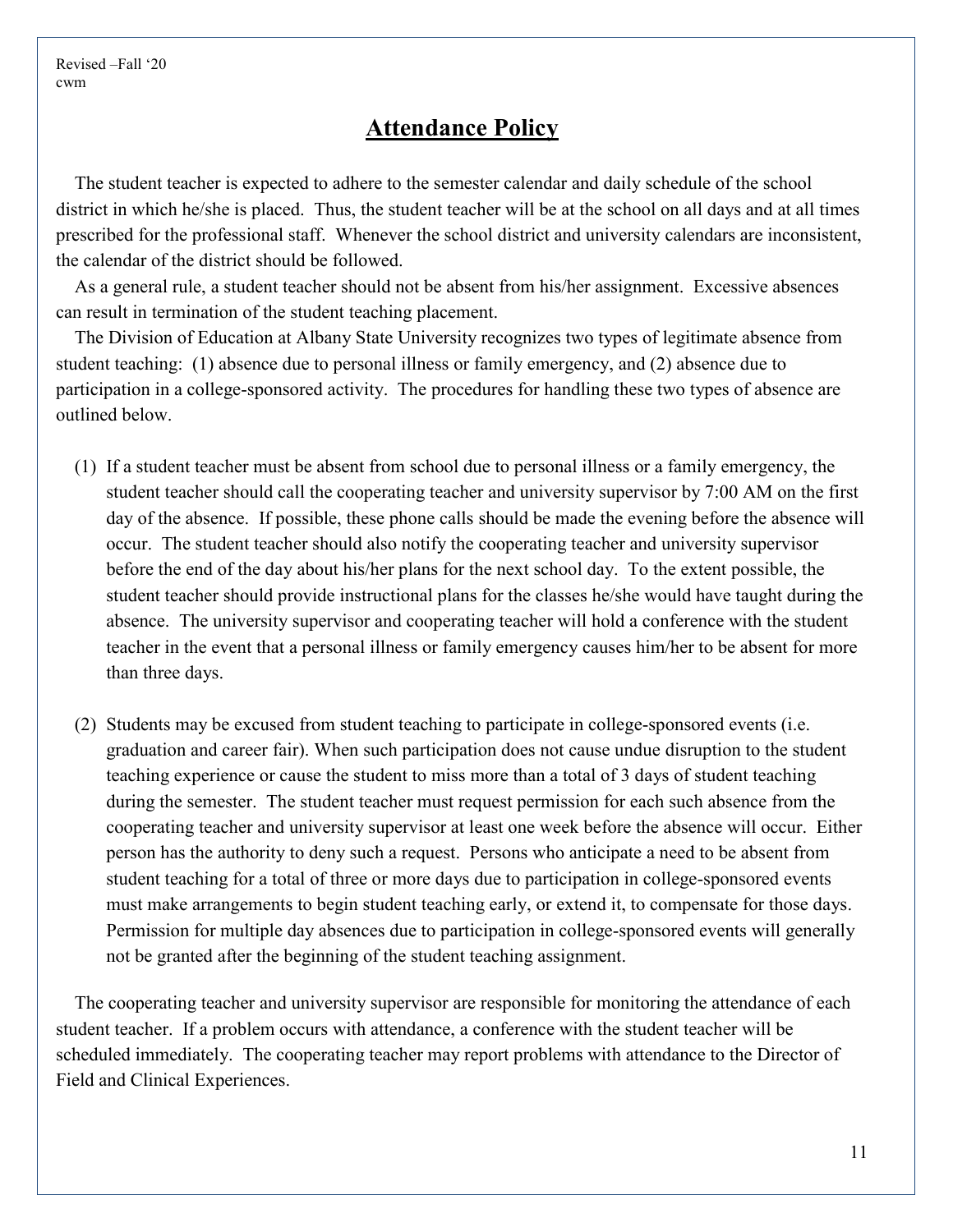#### **Attendance Policy**

The student teacher is expected to adhere to the semester calendar and daily schedule of the school district in which he/she is placed. Thus, the student teacher will be at the school on all days and at all times prescribed for the professional staff. Whenever the school district and university calendars are inconsistent, the calendar of the district should be followed.

As a general rule, a student teacher should not be absent from his/her assignment. Excessive absences can result in termination of the student teaching placement.

The Division of Education at Albany State University recognizes two types of legitimate absence from student teaching: (1) absence due to personal illness or family emergency, and (2) absence due to participation in a college-sponsored activity. The procedures for handling these two types of absence are outlined below.

- (1) If a student teacher must be absent from school due to personal illness or a family emergency, the student teacher should call the cooperating teacher and university supervisor by 7:00 AM on the first day of the absence. If possible, these phone calls should be made the evening before the absence will occur. The student teacher should also notify the cooperating teacher and university supervisor before the end of the day about his/her plans for the next school day. To the extent possible, the student teacher should provide instructional plans for the classes he/she would have taught during the absence. The university supervisor and cooperating teacher will hold a conference with the student teacher in the event that a personal illness or family emergency causes him/her to be absent for more than three days.
- (2) Students may be excused from student teaching to participate in college-sponsored events (i.e. graduation and career fair). When such participation does not cause undue disruption to the student teaching experience or cause the student to miss more than a total of 3 days of student teaching during the semester. The student teacher must request permission for each such absence from the cooperating teacher and university supervisor at least one week before the absence will occur. Either person has the authority to deny such a request. Persons who anticipate a need to be absent from student teaching for a total of three or more days due to participation in college-sponsored events must make arrangements to begin student teaching early, or extend it, to compensate for those days. Permission for multiple day absences due to participation in college-sponsored events will generally not be granted after the beginning of the student teaching assignment.

The cooperating teacher and university supervisor are responsible for monitoring the attendance of each student teacher. If a problem occurs with attendance, a conference with the student teacher will be scheduled immediately. The cooperating teacher may report problems with attendance to the Director of Field and Clinical Experiences.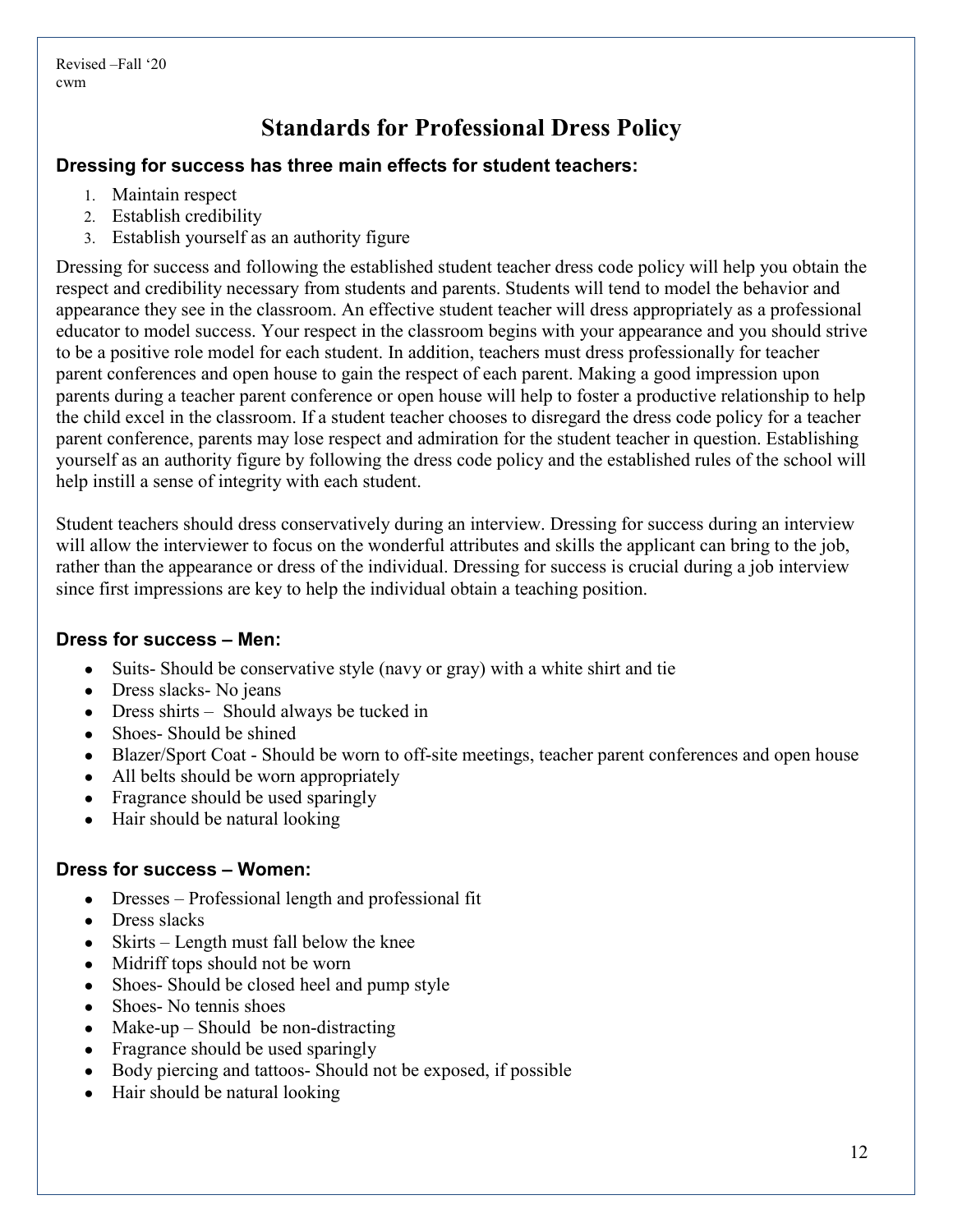# **Standards for Professional Dress Policy**

#### **Dressing for success has three main effects for student teachers:**

- 1. Maintain respect
- 2. Establish credibility
- 3. Establish yourself as an authority figure

Dressing for success and following the established student teacher dress code policy will help you obtain the respect and credibility necessary from students and parents. Students will tend to model the behavior and appearance they see in the classroom. An effective student teacher will dress appropriately as a professional educator to model success. Your respect in the classroom begins with your appearance and you should strive to be a positive role model for each student. In addition, teachers must dress professionally for teacher parent conferences and open house to gain the respect of each parent. Making a good impression upon parents during a teacher parent conference or open house will help to foster a productive relationship to help the child excel in the classroom. If a student teacher chooses to disregard the dress code policy for a teacher parent conference, parents may lose respect and admiration for the student teacher in question. Establishing yourself as an authority figure by following the dress code policy and the established rules of the school will help instill a sense of integrity with each student.

Student teachers should dress conservatively during an interview. Dressing for success during an interview will allow the interviewer to focus on the wonderful attributes and skills the applicant can bring to the job, rather than the appearance or dress of the individual. Dressing for success is crucial during a job interview since first impressions are key to help the individual obtain a teaching position.

#### **Dress for success – Men:**

- Suits- Should be conservative style (navy or gray) with a white shirt and tie
- Dress slacks- No jeans
- Dress shirts Should always be tucked in
- Shoes-Should be shined
- Blazer/Sport Coat Should be worn to off-site meetings, teacher parent conferences and open house
- All belts should be worn appropriately
- Fragrance should be used sparingly
- Hair should be natural looking

#### **Dress for success – Women:**

- Dresses Professional length and professional fit
- Dress slacks
- Skirts Length must fall below the knee
- Midriff tops should not be worn
- Shoes- Should be closed heel and pump style
- Shoes- No tennis shoes
- Make-up Should be non-distracting
- Fragrance should be used sparingly
- Body piercing and tattoos- Should not be exposed, if possible
- Hair should be natural looking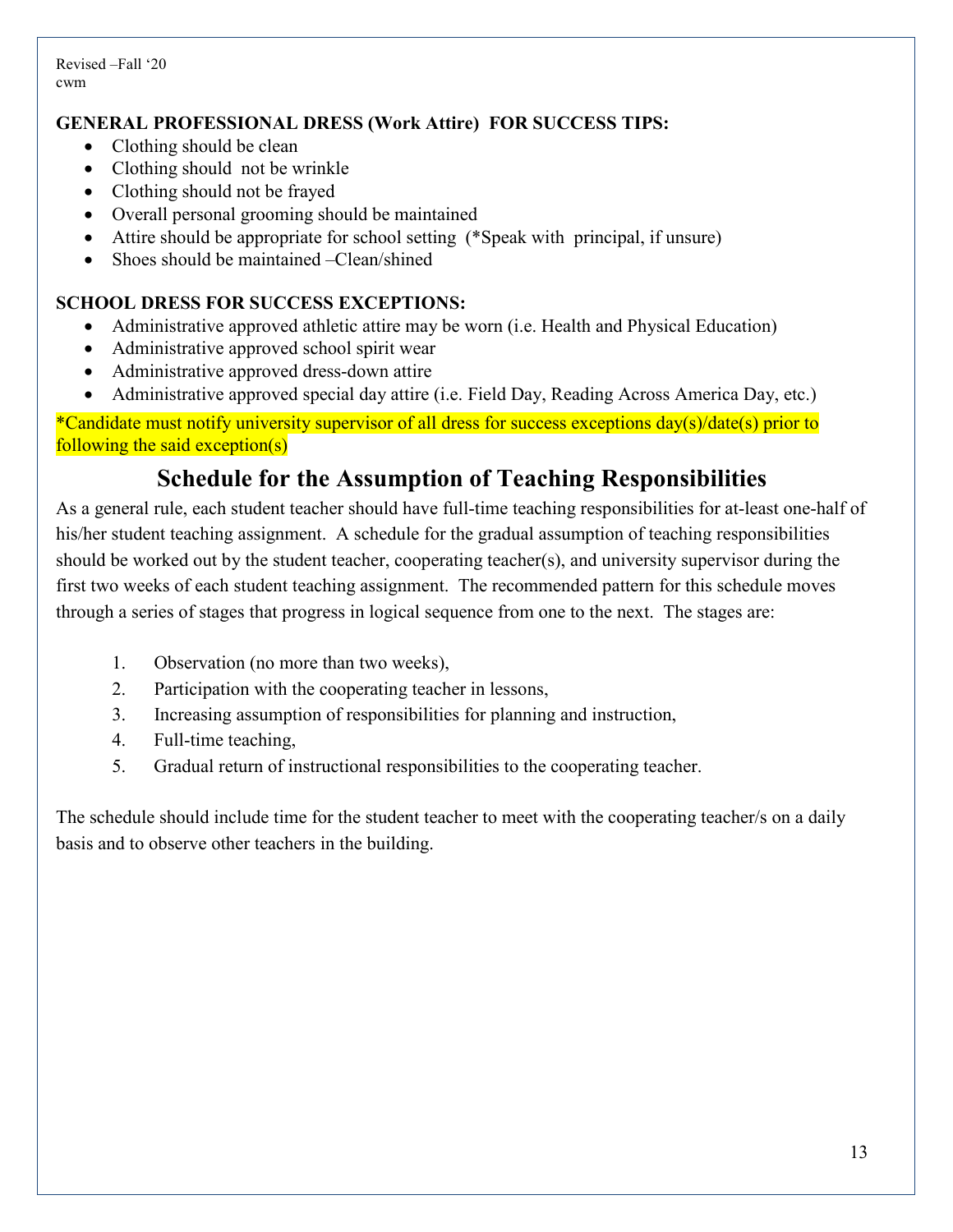#### **GENERAL PROFESSIONAL DRESS (Work Attire) FOR SUCCESS TIPS:**

- Clothing should be clean
- Clothing should not be wrinkle
- Clothing should not be frayed
- Overall personal grooming should be maintained
- Attire should be appropriate for school setting (\*Speak with principal, if unsure)
- Shoes should be maintained –Clean/shined

#### **SCHOOL DRESS FOR SUCCESS EXCEPTIONS:**

- Administrative approved athletic attire may be worn (i.e. Health and Physical Education)
- Administrative approved school spirit wear
- Administrative approved dress-down attire
- Administrative approved special day attire (i.e. Field Day, Reading Across America Day, etc.)

\*Candidate must notify university supervisor of all dress for success exceptions day(s)/date(s) prior to following the said exception(s)

#### **Schedule for the Assumption of Teaching Responsibilities**

As a general rule, each student teacher should have full-time teaching responsibilities for at-least one-half of his/her student teaching assignment. A schedule for the gradual assumption of teaching responsibilities should be worked out by the student teacher, cooperating teacher(s), and university supervisor during the first two weeks of each student teaching assignment. The recommended pattern for this schedule moves through a series of stages that progress in logical sequence from one to the next. The stages are:

- 1. Observation (no more than two weeks),
- 2. Participation with the cooperating teacher in lessons,
- 3. Increasing assumption of responsibilities for planning and instruction,
- 4. Full-time teaching,
- 5. Gradual return of instructional responsibilities to the cooperating teacher.

The schedule should include time for the student teacher to meet with the cooperating teacher/s on a daily basis and to observe other teachers in the building.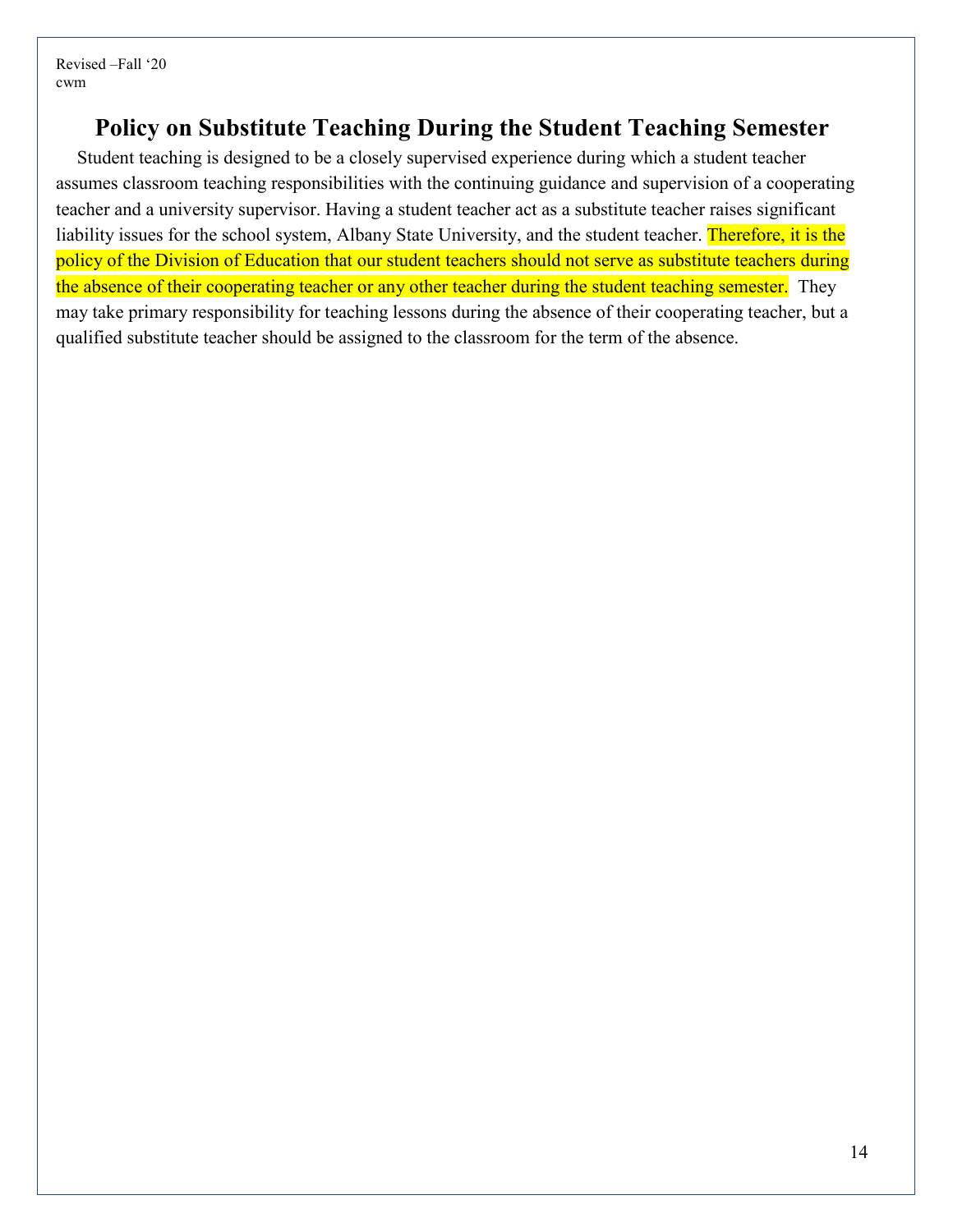## **Policy on Substitute Teaching During the Student Teaching Semester**

Student teaching is designed to be a closely supervised experience during which a student teacher assumes classroom teaching responsibilities with the continuing guidance and supervision of a cooperating teacher and a university supervisor. Having a student teacher act as a substitute teacher raises significant liability issues for the school system, Albany State University, and the student teacher. Therefore, it is the policy of the Division of Education that our student teachers should not serve as substitute teachers during the absence of their cooperating teacher or any other teacher during the student teaching semester. They may take primary responsibility for teaching lessons during the absence of their cooperating teacher, but a qualified substitute teacher should be assigned to the classroom for the term of the absence.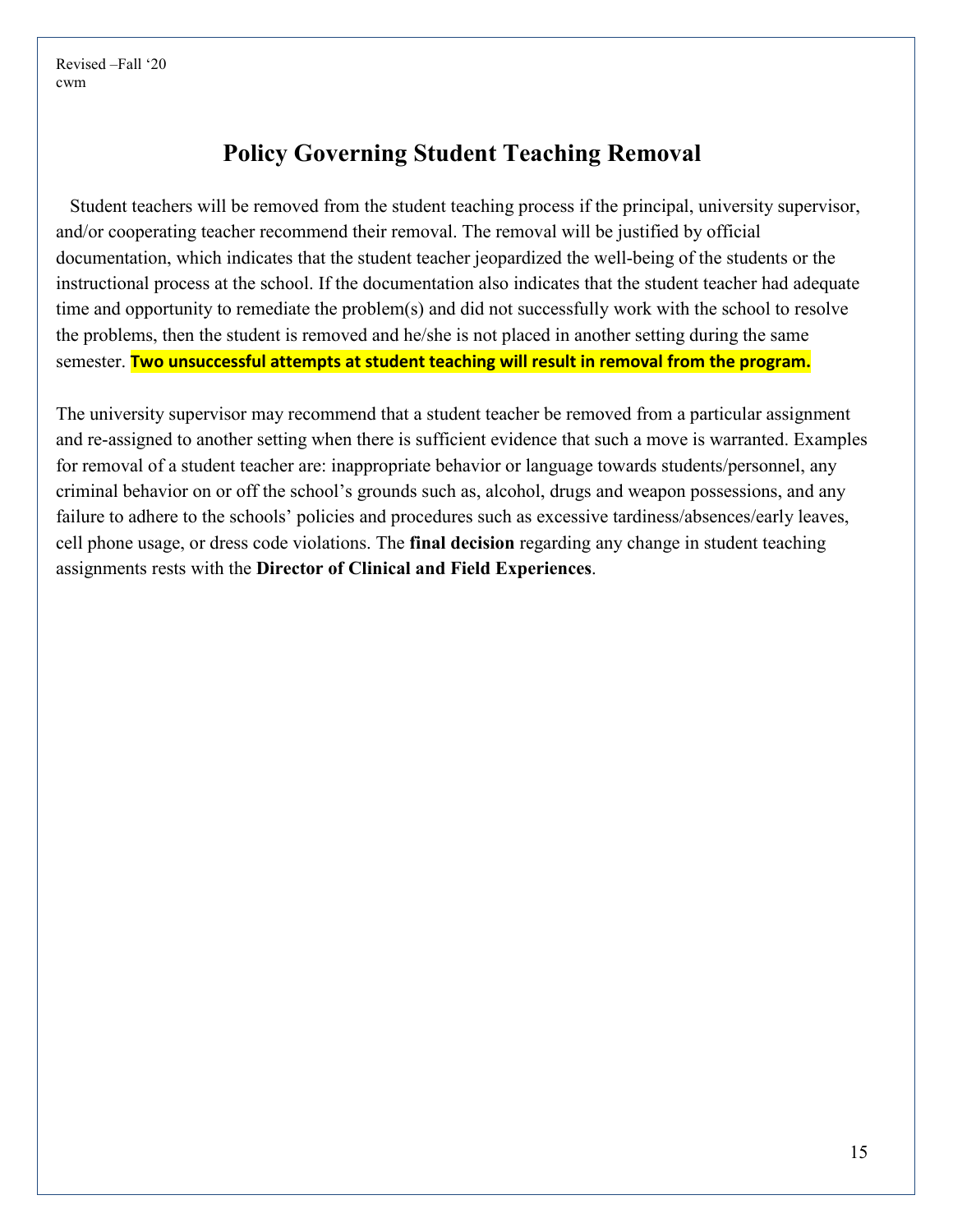#### **Policy Governing Student Teaching Removal**

 Student teachers will be removed from the student teaching process if the principal, university supervisor, and/or cooperating teacher recommend their removal. The removal will be justified by official documentation, which indicates that the student teacher jeopardized the well-being of the students or the instructional process at the school. If the documentation also indicates that the student teacher had adequate time and opportunity to remediate the problem(s) and did not successfully work with the school to resolve the problems, then the student is removed and he/she is not placed in another setting during the same semester. **Two unsuccessful attempts at student teaching will result in removal from the program.**

The university supervisor may recommend that a student teacher be removed from a particular assignment and re-assigned to another setting when there is sufficient evidence that such a move is warranted. Examples for removal of a student teacher are: inappropriate behavior or language towards students/personnel, any criminal behavior on or off the school's grounds such as, alcohol, drugs and weapon possessions, and any failure to adhere to the schools' policies and procedures such as excessive tardiness/absences/early leaves, cell phone usage, or dress code violations. The **final decision** regarding any change in student teaching assignments rests with the **Director of Clinical and Field Experiences**.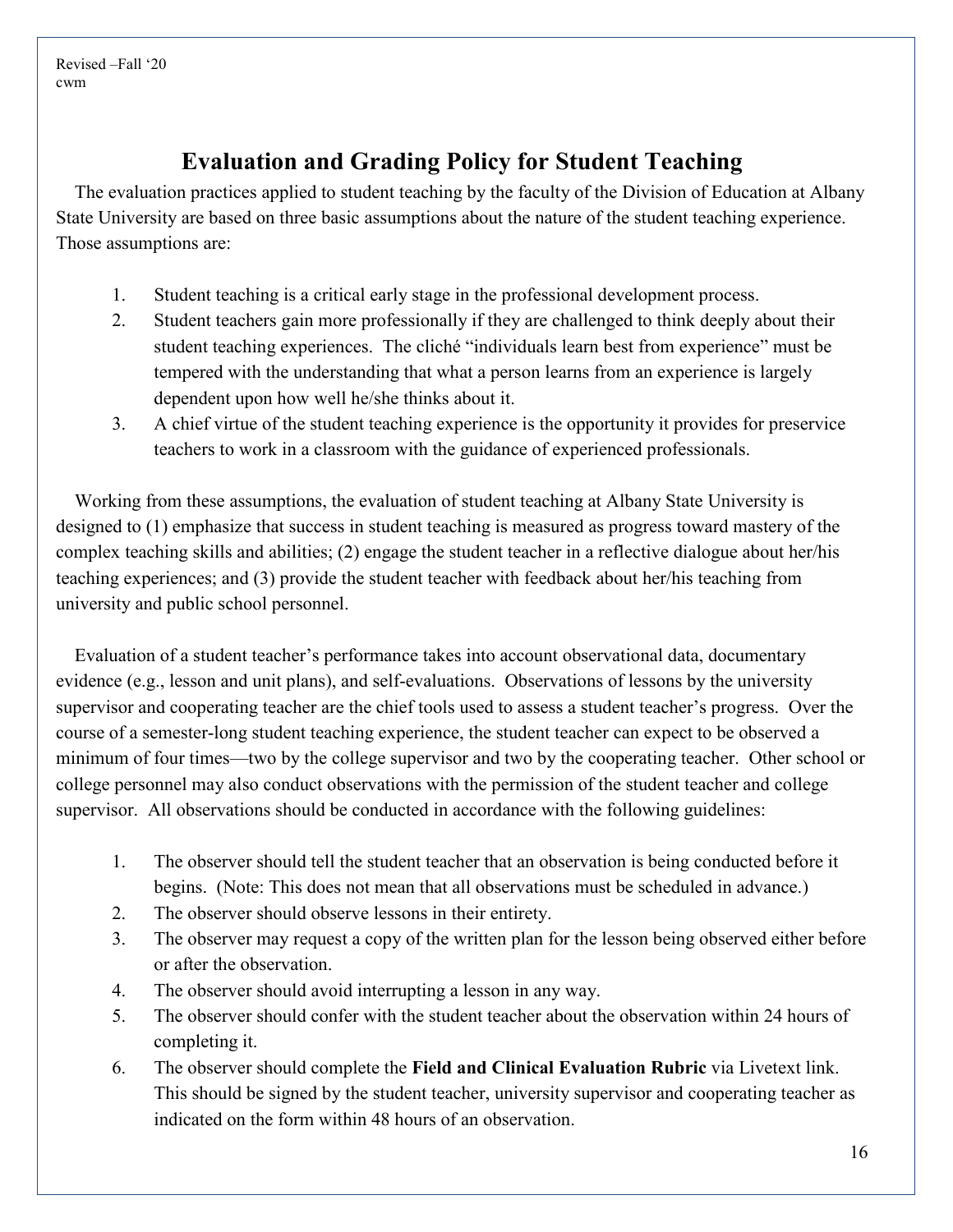# **Evaluation and Grading Policy for Student Teaching**

The evaluation practices applied to student teaching by the faculty of the Division of Education at Albany State University are based on three basic assumptions about the nature of the student teaching experience. Those assumptions are:

- 1. Student teaching is a critical early stage in the professional development process.
- 2. Student teachers gain more professionally if they are challenged to think deeply about their student teaching experiences. The cliché "individuals learn best from experience" must be tempered with the understanding that what a person learns from an experience is largely dependent upon how well he/she thinks about it.
- 3. A chief virtue of the student teaching experience is the opportunity it provides for preservice teachers to work in a classroom with the guidance of experienced professionals.

Working from these assumptions, the evaluation of student teaching at Albany State University is designed to (1) emphasize that success in student teaching is measured as progress toward mastery of the complex teaching skills and abilities; (2) engage the student teacher in a reflective dialogue about her/his teaching experiences; and (3) provide the student teacher with feedback about her/his teaching from university and public school personnel.

Evaluation of a student teacher's performance takes into account observational data, documentary evidence (e.g., lesson and unit plans), and self-evaluations. Observations of lessons by the university supervisor and cooperating teacher are the chief tools used to assess a student teacher's progress. Over the course of a semester-long student teaching experience, the student teacher can expect to be observed a minimum of four times—two by the college supervisor and two by the cooperating teacher. Other school or college personnel may also conduct observations with the permission of the student teacher and college supervisor. All observations should be conducted in accordance with the following guidelines:

- 1. The observer should tell the student teacher that an observation is being conducted before it begins. (Note: This does not mean that all observations must be scheduled in advance.)
- 2. The observer should observe lessons in their entirety.
- 3. The observer may request a copy of the written plan for the lesson being observed either before or after the observation.
- 4. The observer should avoid interrupting a lesson in any way.
- 5. The observer should confer with the student teacher about the observation within 24 hours of completing it.
- 6. The observer should complete the **Field and Clinical Evaluation Rubric** via Livetext link. This should be signed by the student teacher, university supervisor and cooperating teacher as indicated on the form within 48 hours of an observation.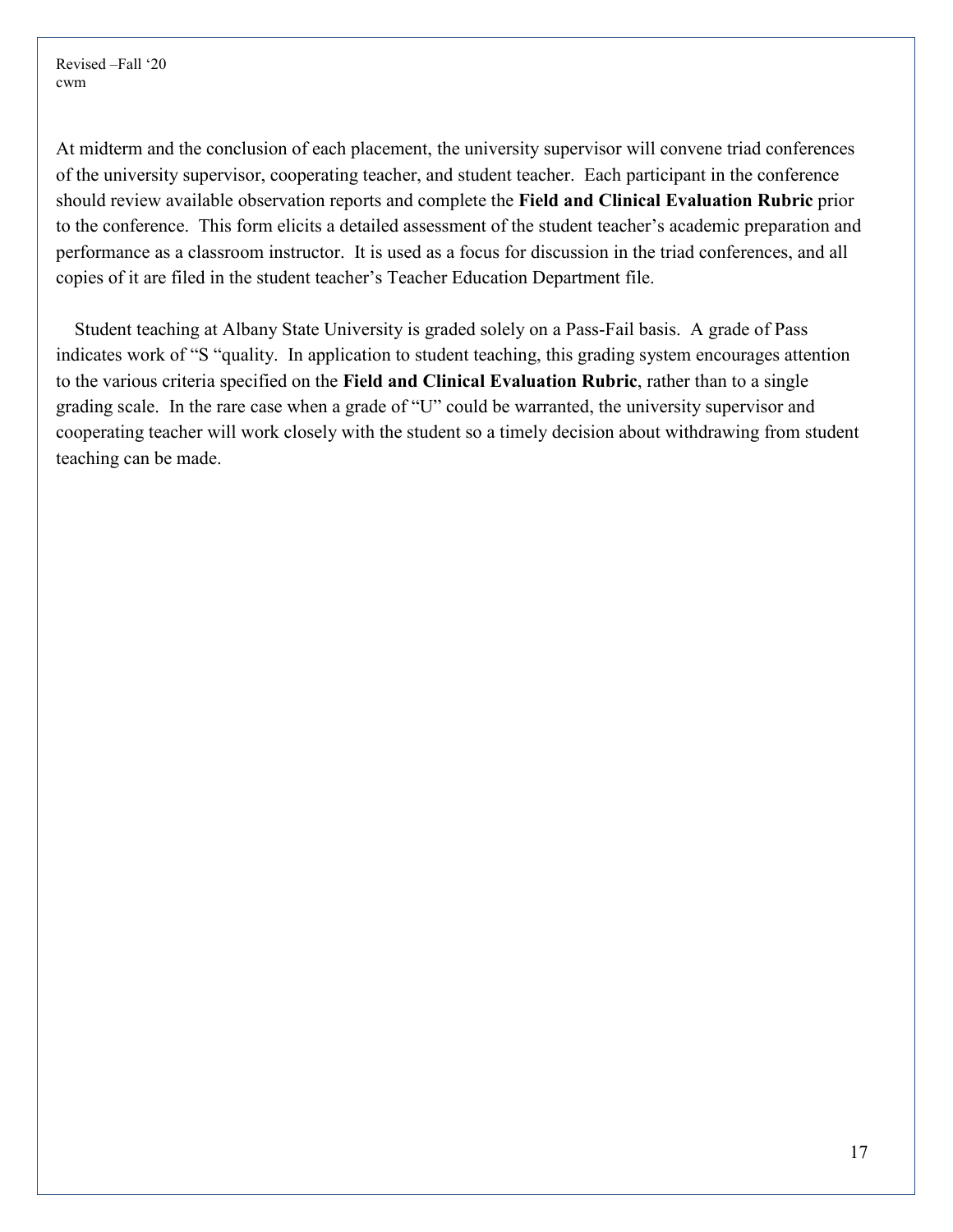At midterm and the conclusion of each placement, the university supervisor will convene triad conferences of the university supervisor, cooperating teacher, and student teacher. Each participant in the conference should review available observation reports and complete the **Field and Clinical Evaluation Rubric** prior to the conference. This form elicits a detailed assessment of the student teacher's academic preparation and performance as a classroom instructor. It is used as a focus for discussion in the triad conferences, and all copies of it are filed in the student teacher's Teacher Education Department file.

Student teaching at Albany State University is graded solely on a Pass-Fail basis. A grade of Pass indicates work of "S "quality. In application to student teaching, this grading system encourages attention to the various criteria specified on the **Field and Clinical Evaluation Rubric**, rather than to a single grading scale. In the rare case when a grade of "U" could be warranted, the university supervisor and cooperating teacher will work closely with the student so a timely decision about withdrawing from student teaching can be made.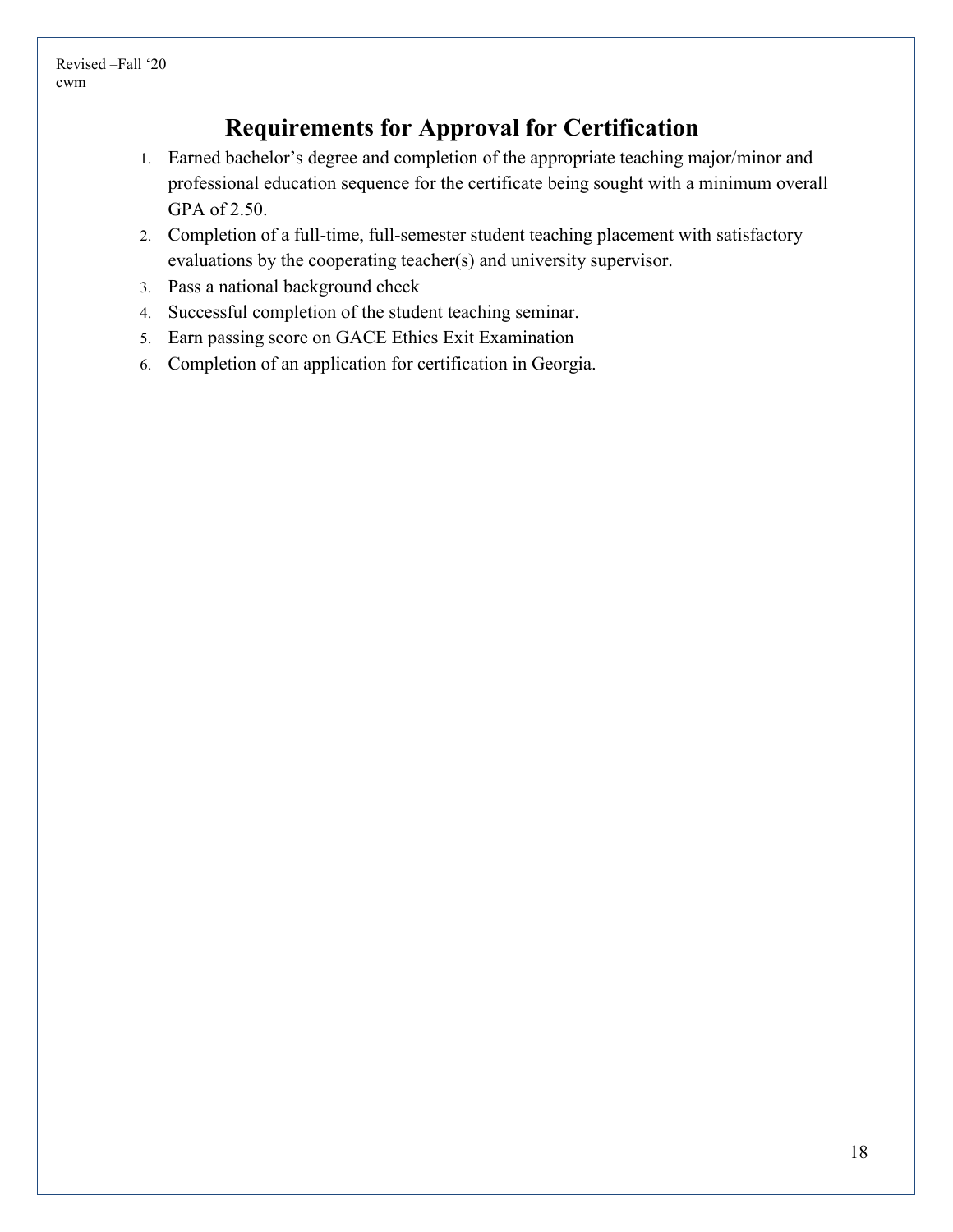# **Requirements for Approval for Certification**

- 1. Earned bachelor's degree and completion of the appropriate teaching major/minor and professional education sequence for the certificate being sought with a minimum overall GPA of 2.50.
- 2. Completion of a full-time, full-semester student teaching placement with satisfactory evaluations by the cooperating teacher(s) and university supervisor.
- 3. Pass a national background check
- 4. Successful completion of the student teaching seminar.
- 5. Earn passing score on GACE Ethics Exit Examination
- 6. Completion of an application for certification in Georgia.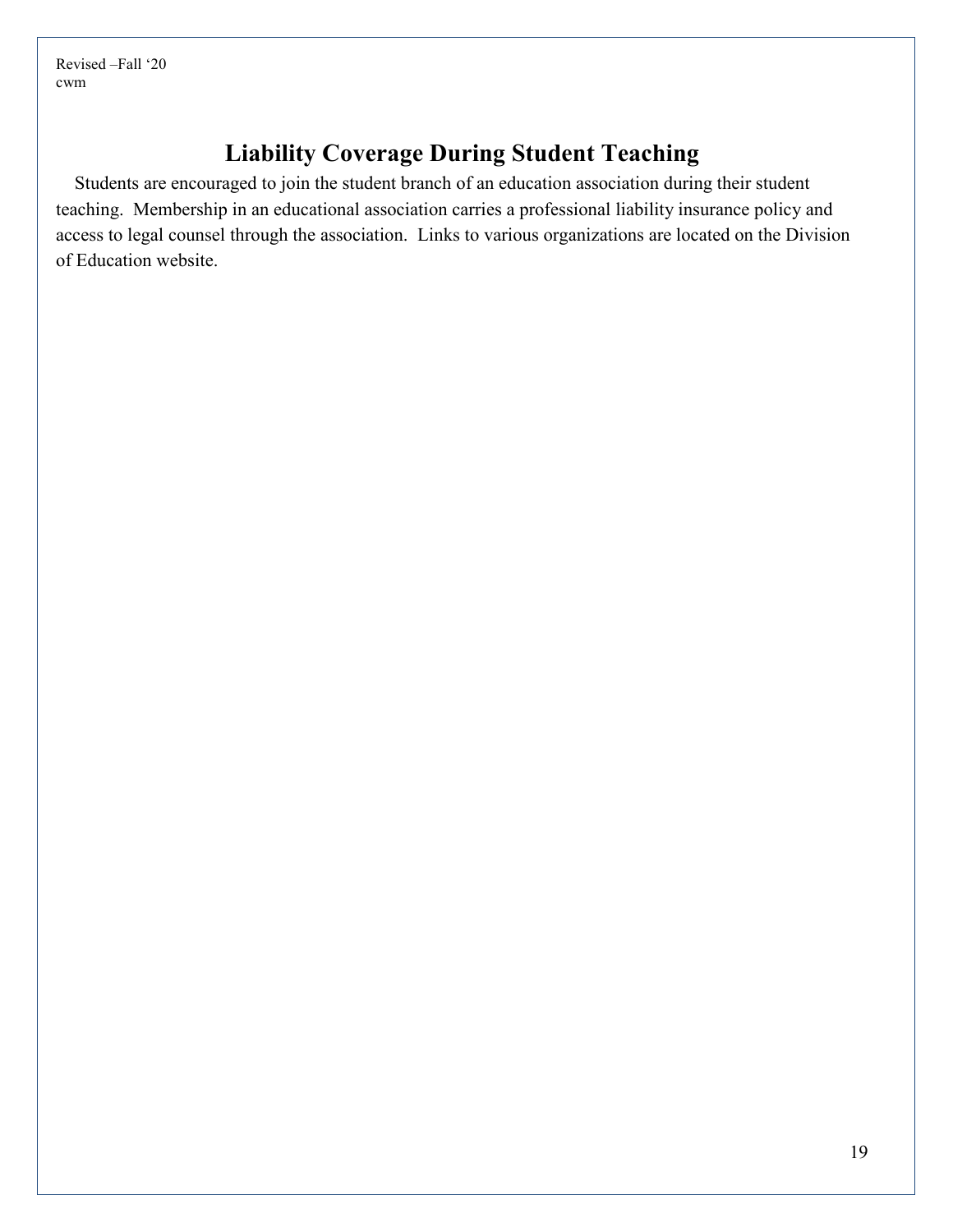# **Liability Coverage During Student Teaching**

Students are encouraged to join the student branch of an education association during their student teaching. Membership in an educational association carries a professional liability insurance policy and access to legal counsel through the association. Links to various organizations are located on the Division of Education website.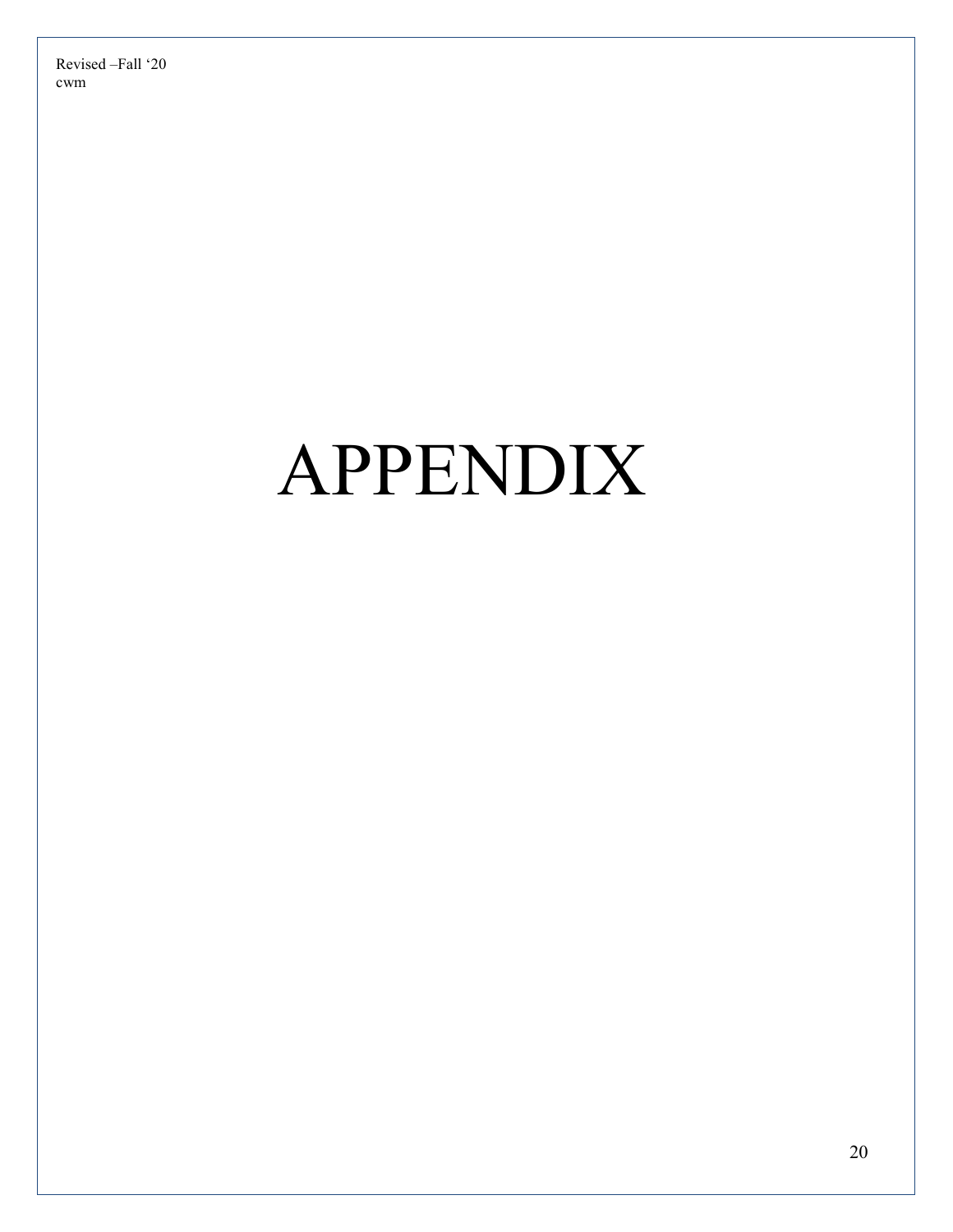# APPENDIX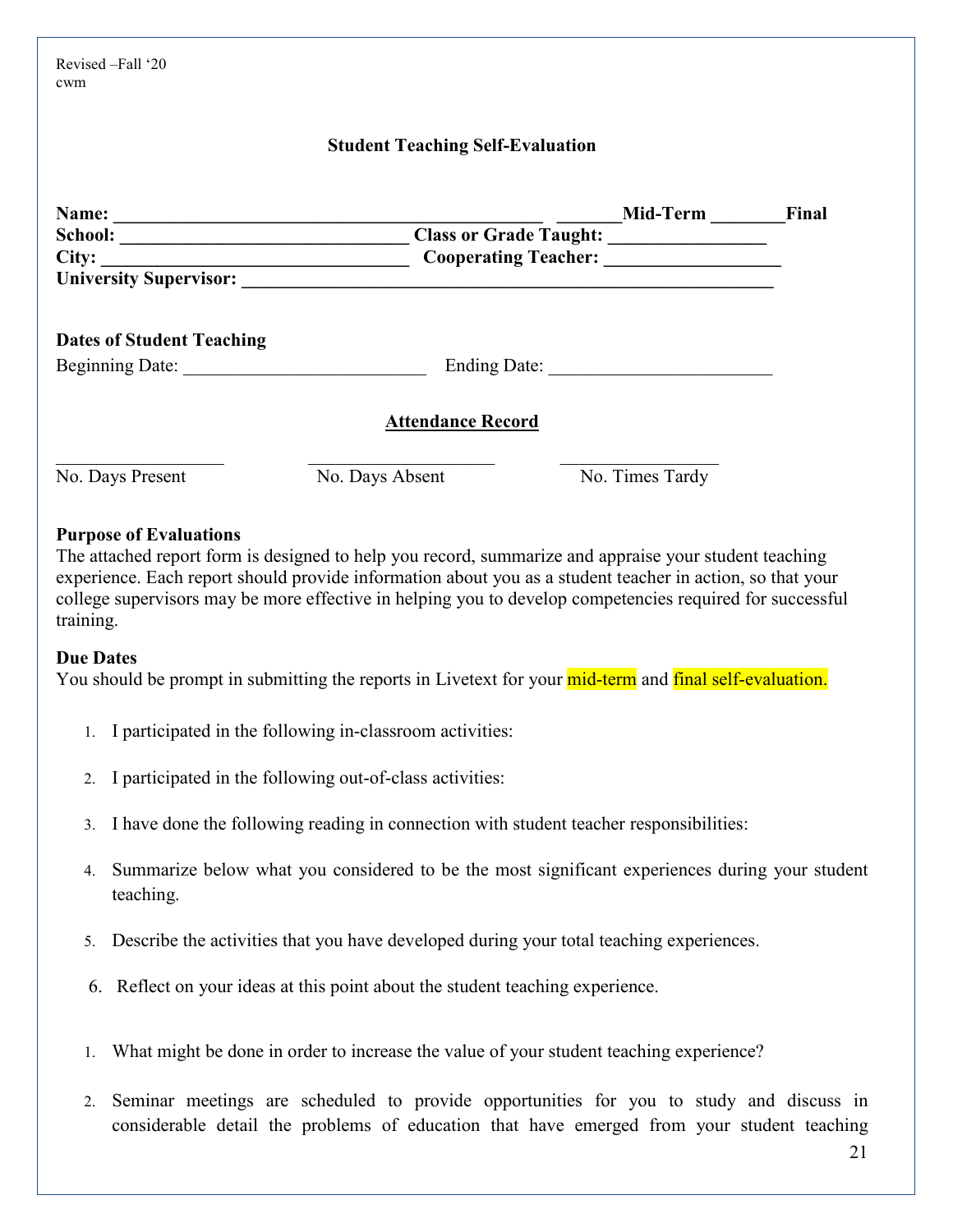| Revised -Fall '20<br>cwm         |                                         |                             |       |
|----------------------------------|-----------------------------------------|-----------------------------|-------|
|                                  | <b>Student Teaching Self-Evaluation</b> |                             |       |
|                                  |                                         | <b>Mid-Term</b>             | Final |
|                                  |                                         |                             |       |
| City:                            |                                         | <b>Cooperating Teacher:</b> |       |
|                                  |                                         |                             |       |
| <b>Dates of Student Teaching</b> |                                         |                             |       |
| Beginning Date:                  |                                         |                             |       |
|                                  | <b>Attendance Record</b>                |                             |       |
| No. Days Present                 | No. Days Absent                         | No. Times Tardy             |       |

#### **Purpose of Evaluations**

The attached report form is designed to help you record, summarize and appraise your student teaching experience. Each report should provide information about you as a student teacher in action, so that your college supervisors may be more effective in helping you to develop competencies required for successful training.

#### **Due Dates**

You should be prompt in submitting the reports in Livetext for your mid-term and final self-evaluation.

- 1. I participated in the following in-classroom activities:
- 2. I participated in the following out-of-class activities:
- 3. I have done the following reading in connection with student teacher responsibilities:
- 4. Summarize below what you considered to be the most significant experiences during your student teaching.
- 5. Describe the activities that you have developed during your total teaching experiences.
- 6. Reflect on your ideas at this point about the student teaching experience.
- 1. What might be done in order to increase the value of your student teaching experience?
- 2. Seminar meetings are scheduled to provide opportunities for you to study and discuss in considerable detail the problems of education that have emerged from your student teaching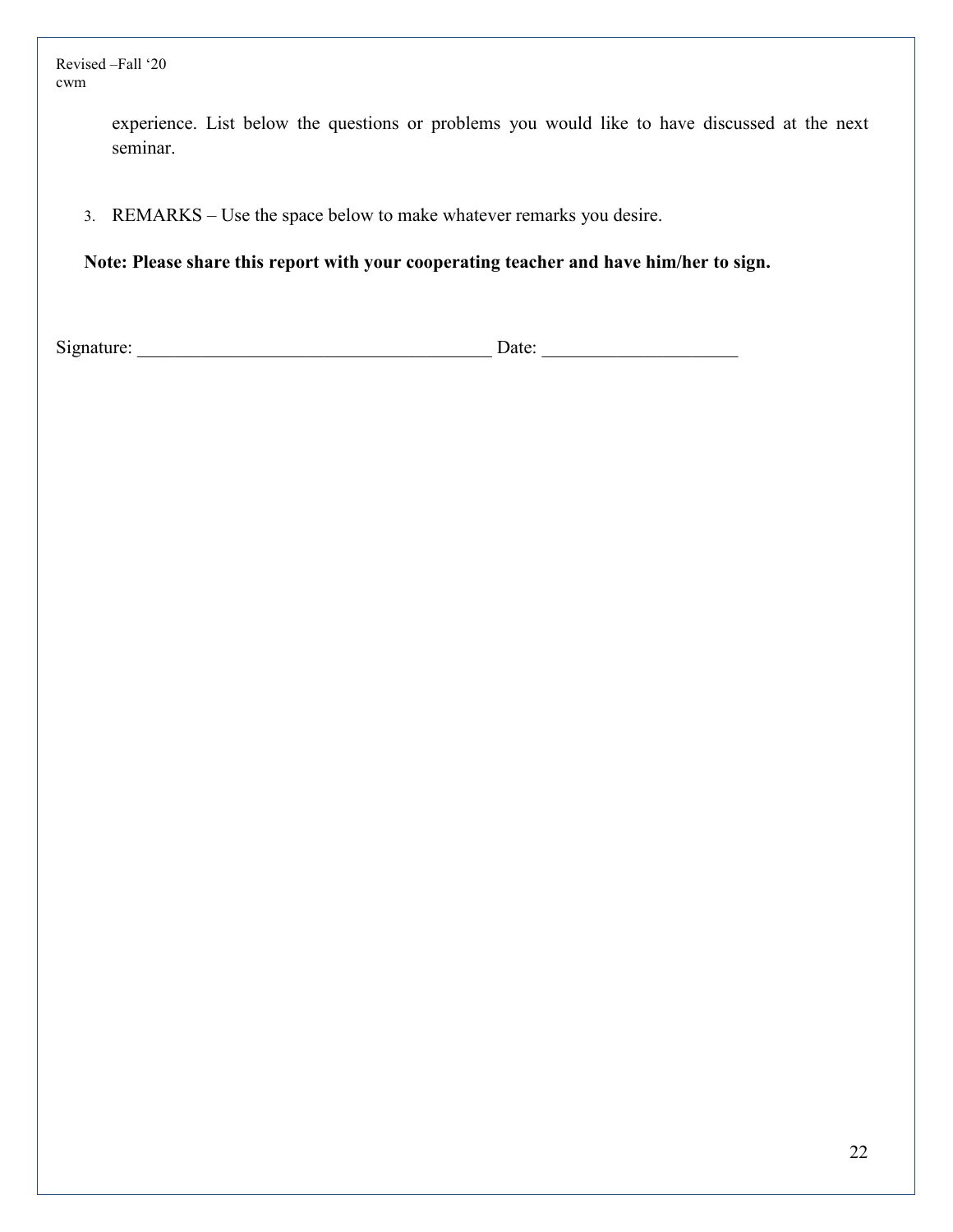> experience. List below the questions or problems you would like to have discussed at the next seminar.

3. REMARKS – Use the space below to make whatever remarks you desire.

**Note: Please share this report with your cooperating teacher and have him/her to sign.** 

Signature: \_\_\_\_\_\_\_\_\_\_\_\_\_\_\_\_\_\_\_\_\_\_\_\_\_\_\_\_\_\_\_\_\_\_\_\_\_\_ Date: \_\_\_\_\_\_\_\_\_\_\_\_\_\_\_\_\_\_\_\_\_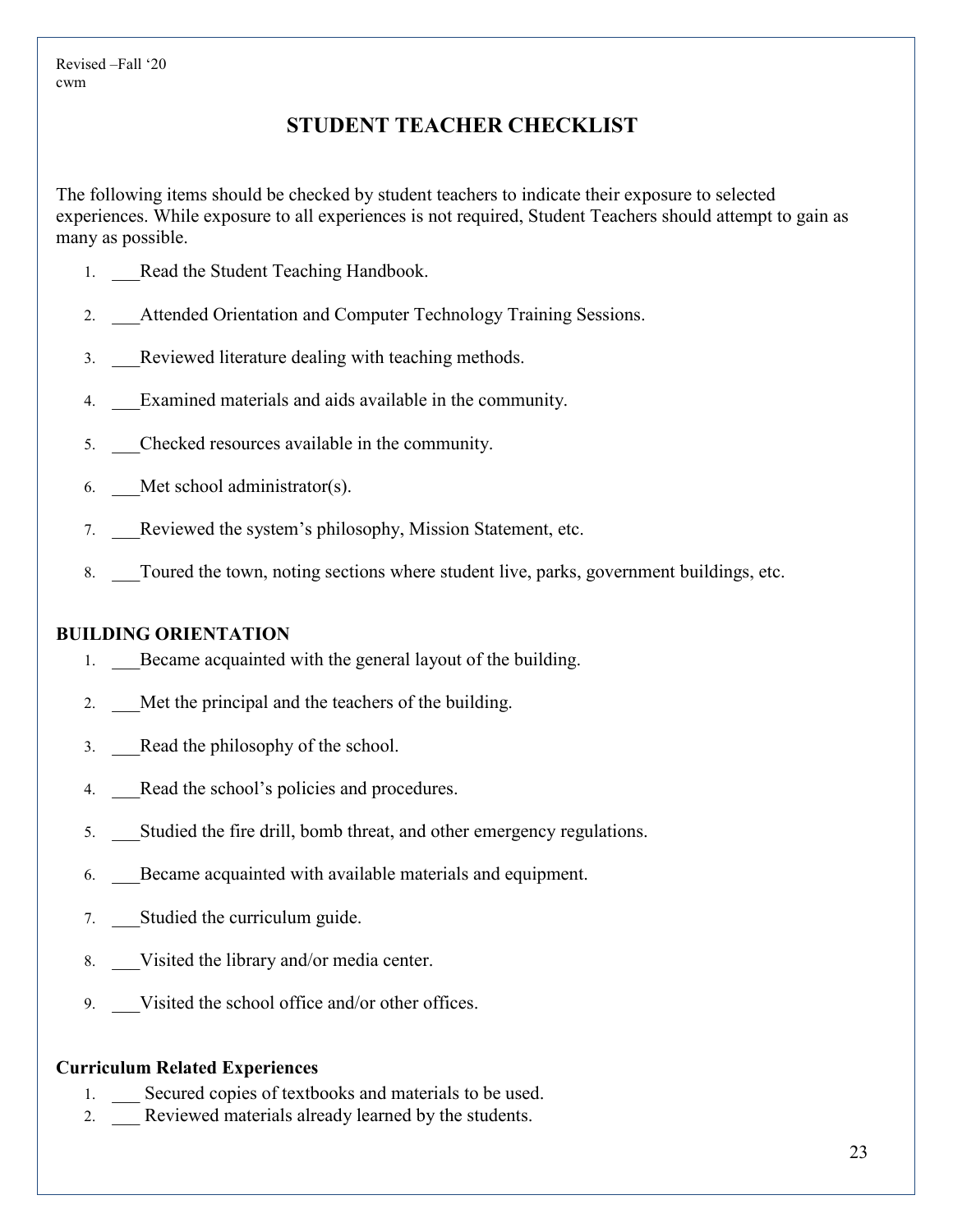#### **STUDENT TEACHER CHECKLIST**

The following items should be checked by student teachers to indicate their exposure to selected experiences. While exposure to all experiences is not required, Student Teachers should attempt to gain as many as possible.

- 1. Read the Student Teaching Handbook.
- 2. Attended Orientation and Computer Technology Training Sessions.
- 3. \_\_\_Reviewed literature dealing with teaching methods.
- 4. Examined materials and aids available in the community.
- 5. \_\_\_Checked resources available in the community.
- 6. Met school administrator(s).
- 7. Reviewed the system's philosophy, Mission Statement, etc.
- 8. Toured the town, noting sections where student live, parks, government buildings, etc.

#### **BUILDING ORIENTATION**

- 1. Became acquainted with the general layout of the building.
- 2. Met the principal and the teachers of the building.
- 3. Read the philosophy of the school.
- 4. Read the school's policies and procedures.
- 5. \_\_\_Studied the fire drill, bomb threat, and other emergency regulations.
- 6. \_\_\_Became acquainted with available materials and equipment.
- 7. Studied the curriculum guide.
- 8. Visited the library and/or media center.
- 9. Visited the school office and/or other offices.

#### **Curriculum Related Experiences**

- 1. Secured copies of textbooks and materials to be used.
- 2. Reviewed materials already learned by the students.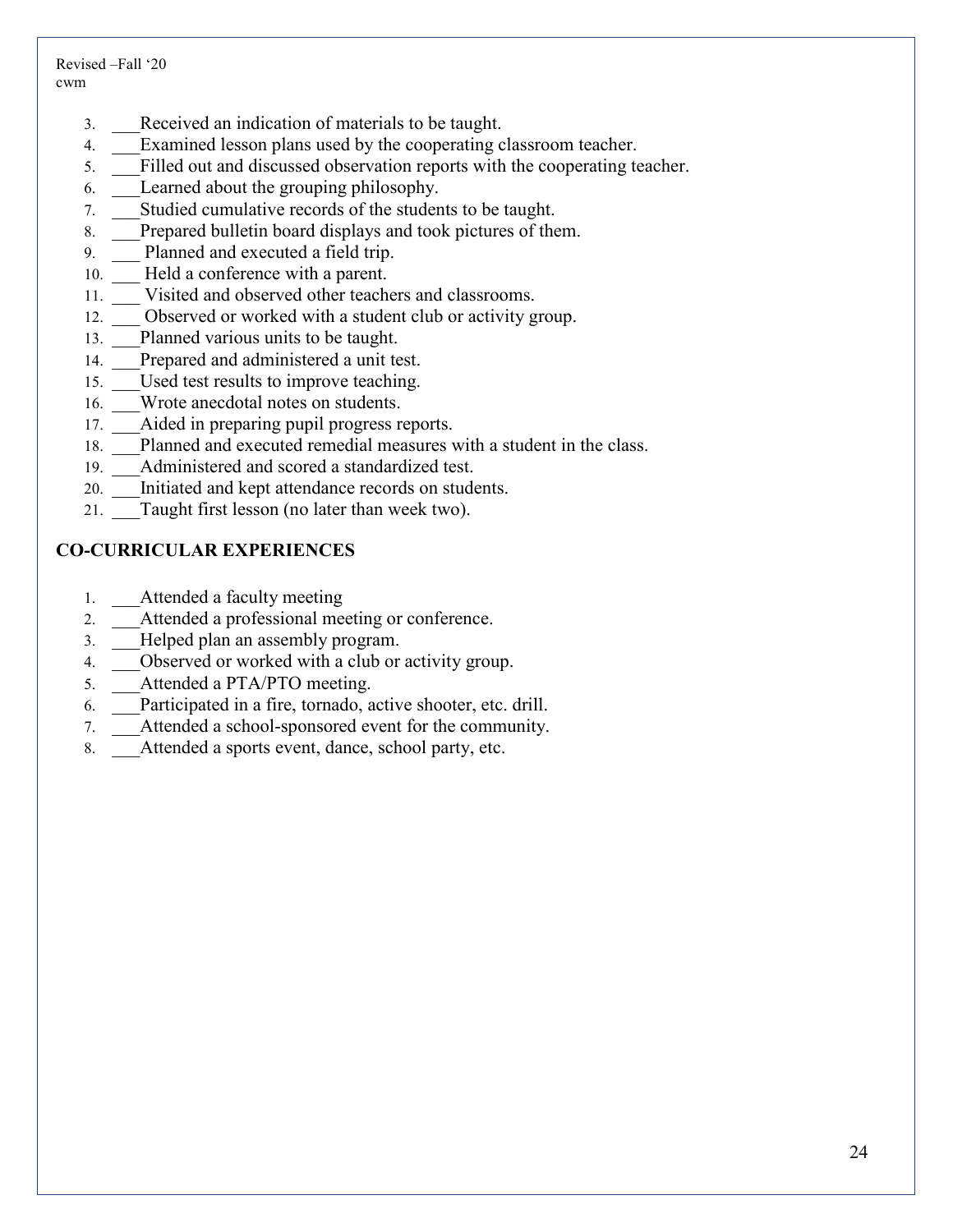- 3. \_\_\_Received an indication of materials to be taught.
- 4. Examined lesson plans used by the cooperating classroom teacher.
- 5. \_\_\_Filled out and discussed observation reports with the cooperating teacher.
- 6. \_\_\_Learned about the grouping philosophy.
- 7. \_\_\_Studied cumulative records of the students to be taught.
- 8. Prepared bulletin board displays and took pictures of them.
- 9. Planned and executed a field trip.
- 10. Held a conference with a parent.
- 11. \_\_\_ Visited and observed other teachers and classrooms.
- 12. Observed or worked with a student club or activity group.
- 13. Planned various units to be taught.
- 14. Prepared and administered a unit test.
- 15. Used test results to improve teaching.
- 16. Wrote anecdotal notes on students.
- 17. Aided in preparing pupil progress reports.
- 18. Planned and executed remedial measures with a student in the class.
- 19. Administered and scored a standardized test.
- 20. Initiated and kept attendance records on students.
- 21. Taught first lesson (no later than week two).

#### **CO-CURRICULAR EXPERIENCES**

- 1. Attended a faculty meeting
- 2. Attended a professional meeting or conference.
- 3. Helped plan an assembly program.
- 4. Observed or worked with a club or activity group.
- 5. Attended a PTA/PTO meeting.
- 6. \_\_\_Participated in a fire, tornado, active shooter, etc. drill.
- 7. \_\_\_Attended a school-sponsored event for the community.
- 8. Attended a sports event, dance, school party, etc.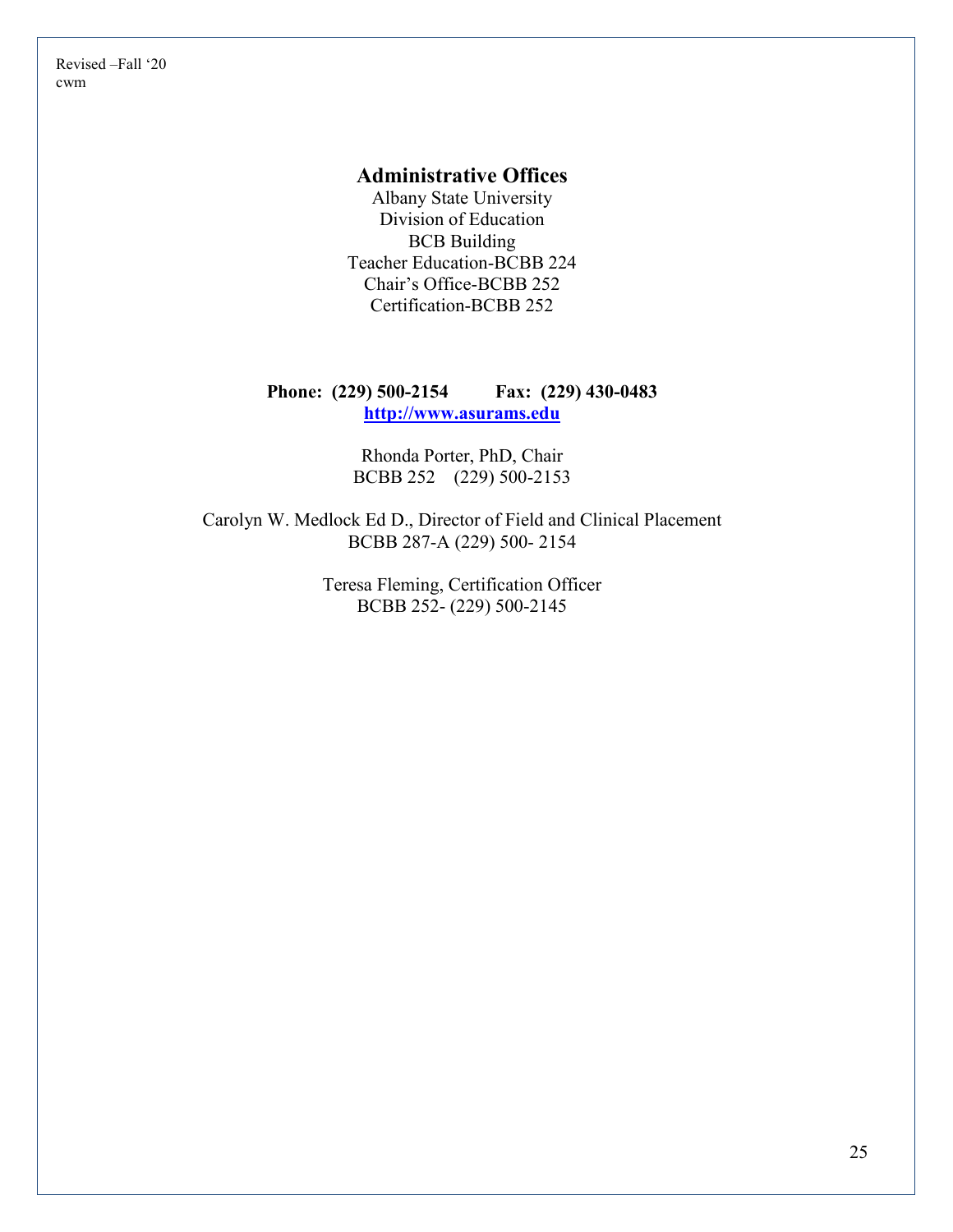#### **Administrative Offices**

Albany State University Division of Education BCB Building Teacher Education-BCBB 224 Chair's Office-BCBB 252 Certification-BCBB 252

#### **Phone: (229) 500-2154 Fax: (229) 430-0483 [http://www.asurams.edu](http://www.asurams.edu/)**

Rhonda Porter, PhD, Chair BCBB 252 (229) 500-2153

Carolyn W. Medlock Ed D., Director of Field and Clinical Placement BCBB 287-A (229) 500- 2154

> Teresa Fleming, Certification Officer BCBB 252- (229) 500-2145